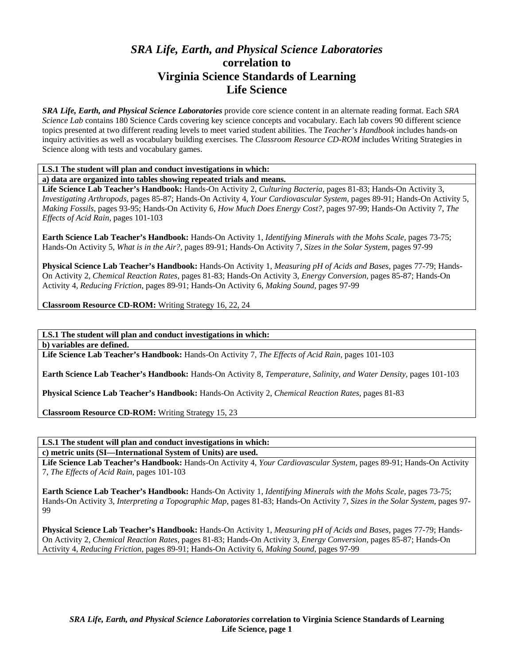# *SRA Life, Earth, and Physical Science Laboratories*  **correlation to Virginia Science Standards of Learning Life Science**

*SRA Life, Earth, and Physical Science Laboratories* provide core science content in an alternate reading format. Each *SRA Science Lab* contains 180 Science Cards covering key science concepts and vocabulary. Each lab covers 90 different science topics presented at two different reading levels to meet varied student abilities. The *Teacher's Handbook* includes hands-on inquiry activities as well as vocabulary building exercises. The *Classroom Resource CD-ROM* includes Writing Strategies in Science along with tests and vocabulary games.

**LS.1 The student will plan and conduct investigations in which:** 

**a) data are organized into tables showing repeated trials and means.** 

**Life Science Lab Teacher's Handbook:** Hands-On Activity 2, *Culturing Bacteria,* pages 81-83; Hands-On Activity 3, *Investigating Arthropods,* pages 85-87; Hands-On Activity 4, *Your Cardiovascular System,* pages 89-91; Hands-On Activity 5, *Making Fossils,* pages 93-95; Hands-On Activity 6, *How Much Does Energy Cost?,* pages 97-99; Hands-On Activity 7, *The Effects of Acid Rain,* pages 101-103

**Earth Science Lab Teacher's Handbook:** Hands-On Activity 1, *Identifying Minerals with the Mohs Scale,* pages 73-75; Hands-On Activity 5, *What is in the Air?,* pages 89-91; Hands-On Activity 7, *Sizes in the Solar System,* pages 97-99

**Physical Science Lab Teacher's Handbook:** Hands-On Activity 1, *Measuring pH of Acids and Bases,* pages 77-79; Hands-On Activity 2, *Chemical Reaction Rates,* pages 81-83; Hands-On Activity 3, *Energy Conversion,* pages 85-87; Hands-On Activity 4, *Reducing Friction,* pages 89-91; Hands-On Activity 6, *Making Sound,* pages 97-99

**Classroom Resource CD-ROM:** Writing Strategy 16, 22, 24

**LS.1 The student will plan and conduct investigations in which:** 

**b) variables are defined.** 

**Life Science Lab Teacher's Handbook:** Hands-On Activity 7, *The Effects of Acid Rain,* pages 101-103

**Earth Science Lab Teacher's Handbook:** Hands-On Activity 8, *Temperature, Salinity, and Water Density,* pages 101-103

**Physical Science Lab Teacher's Handbook:** Hands-On Activity 2, *Chemical Reaction Rates,* pages 81-83

**Classroom Resource CD-ROM:** Writing Strategy 15, 23

**LS.1 The student will plan and conduct investigations in which:** 

**c) metric units (SI—International System of Units) are used.** 

**Life Science Lab Teacher's Handbook:** Hands-On Activity 4, *Your Cardiovascular System,* pages 89-91; Hands-On Activity 7, *The Effects of Acid Rain,* pages 101-103

**Earth Science Lab Teacher's Handbook:** Hands-On Activity 1, *Identifying Minerals with the Mohs Scale,* pages 73-75; Hands-On Activity 3, *Interpreting a Topographic Map,* pages 81-83; Hands-On Activity 7, *Sizes in the Solar System,* pages 97- 99

**Physical Science Lab Teacher's Handbook:** Hands-On Activity 1, *Measuring pH of Acids and Bases,* pages 77-79; Hands-On Activity 2, *Chemical Reaction Rates,* pages 81-83; Hands-On Activity 3, *Energy Conversion,* pages 85-87; Hands-On Activity 4, *Reducing Friction,* pages 89-91; Hands-On Activity 6, *Making Sound,* pages 97-99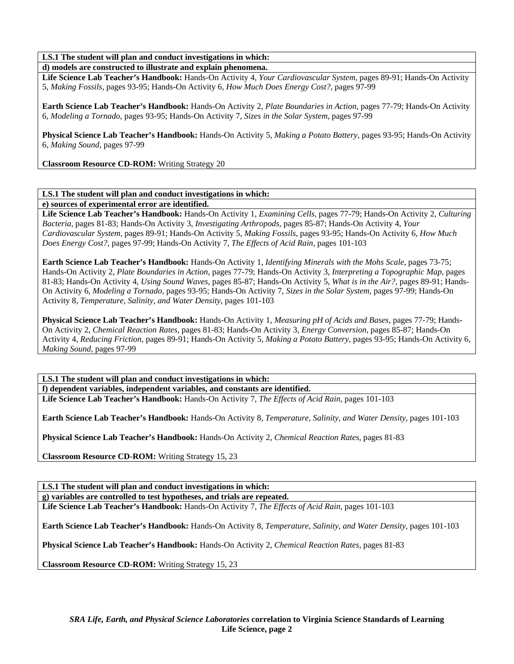**d) models are constructed to illustrate and explain phenomena.** 

**Life Science Lab Teacher's Handbook:** Hands-On Activity 4, *Your Cardiovascular System,* pages 89-91; Hands-On Activity 5, *Making Fossils,* pages 93-95; Hands-On Activity 6, *How Much Does Energy Cost?,* pages 97-99

**Earth Science Lab Teacher's Handbook:** Hands-On Activity 2, *Plate Boundaries in Action,* pages 77-79; Hands-On Activity 6, *Modeling a Tornado,* pages 93-95; Hands-On Activity 7, *Sizes in the Solar System,* pages 97-99

**Physical Science Lab Teacher's Handbook:** Hands-On Activity 5, *Making a Potato Battery,* pages 93-95; Hands-On Activity 6, *Making Sound,* pages 97-99

**Classroom Resource CD-ROM:** Writing Strategy 20

# **LS.1 The student will plan and conduct investigations in which:**

**e) sources of experimental error are identified.** 

**Life Science Lab Teacher's Handbook:** Hands-On Activity 1, *Examining Cells,* pages 77-79; Hands-On Activity 2, *Culturing Bacteria,* pages 81-83; Hands-On Activity 3, *Investigating Arthropods,* pages 85-87; Hands-On Activity 4, *Your Cardiovascular System,* pages 89-91; Hands-On Activity 5, *Making Fossils,* pages 93-95; Hands-On Activity 6, *How Much Does Energy Cost?,* pages 97-99; Hands-On Activity 7, *The Effects of Acid Rain,* pages 101-103

**Earth Science Lab Teacher's Handbook:** Hands-On Activity 1, *Identifying Minerals with the Mohs Scale,* pages 73-75; Hands-On Activity 2, *Plate Boundaries in Action,* pages 77-79; Hands-On Activity 3, *Interpreting a Topographic Map,* pages 81-83; Hands-On Activity 4, *Using Sound Waves,* pages 85-87; Hands-On Activity 5, *What is in the Air?,* pages 89-91; Hands-On Activity 6, *Modeling a Tornado,* pages 93-95; Hands-On Activity 7, *Sizes in the Solar System,* pages 97-99; Hands-On Activity 8, *Temperature, Salinity, and Water Density,* pages 101-103

**Physical Science Lab Teacher's Handbook:** Hands-On Activity 1, *Measuring pH of Acids and Bases,* pages 77-79; Hands-On Activity 2, *Chemical Reaction Rates,* pages 81-83; Hands-On Activity 3, *Energy Conversion,* pages 85-87; Hands-On Activity 4, *Reducing Friction,* pages 89-91; Hands-On Activity 5, *Making a Potato Battery,* pages 93-95; Hands-On Activity 6, *Making Sound,* pages 97-99

**LS.1 The student will plan and conduct investigations in which: f) dependent variables, independent variables, and constants are identified.** 

**Life Science Lab Teacher's Handbook:** Hands-On Activity 7, *The Effects of Acid Rain,* pages 101-103

**Earth Science Lab Teacher's Handbook:** Hands-On Activity 8, *Temperature, Salinity, and Water Density,* pages 101-103

**Physical Science Lab Teacher's Handbook:** Hands-On Activity 2, *Chemical Reaction Rates,* pages 81-83

**Classroom Resource CD-ROM:** Writing Strategy 15, 23

**LS.1 The student will plan and conduct investigations in which:** 

**g) variables are controlled to test hypotheses, and trials are repeated.** 

**Life Science Lab Teacher's Handbook:** Hands-On Activity 7, *The Effects of Acid Rain,* pages 101-103

**Earth Science Lab Teacher's Handbook:** Hands-On Activity 8, *Temperature, Salinity, and Water Density,* pages 101-103

**Physical Science Lab Teacher's Handbook:** Hands-On Activity 2, *Chemical Reaction Rates,* pages 81-83

**Classroom Resource CD-ROM:** Writing Strategy 15, 23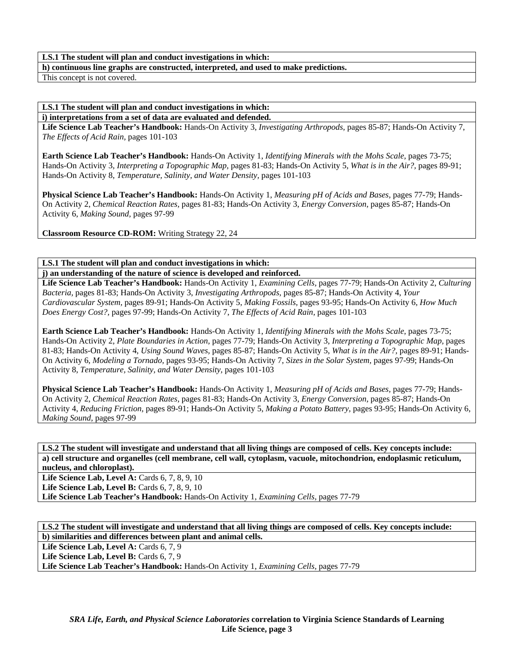**h) continuous line graphs are constructed, interpreted, and used to make predictions.** 

This concept is not covered.

## **LS.1 The student will plan and conduct investigations in which:**

**i) interpretations from a set of data are evaluated and defended.** 

**Life Science Lab Teacher's Handbook:** Hands-On Activity 3, *Investigating Arthropods,* pages 85-87; Hands-On Activity 7, *The Effects of Acid Rain,* pages 101-103

**Earth Science Lab Teacher's Handbook:** Hands-On Activity 1, *Identifying Minerals with the Mohs Scale,* pages 73-75; Hands-On Activity 3, *Interpreting a Topographic Map,* pages 81-83; Hands-On Activity 5, *What is in the Air?,* pages 89-91; Hands-On Activity 8, *Temperature, Salinity, and Water Density,* pages 101-103

**Physical Science Lab Teacher's Handbook:** Hands-On Activity 1, *Measuring pH of Acids and Bases,* pages 77-79; Hands-On Activity 2, *Chemical Reaction Rates,* pages 81-83; Hands-On Activity 3, *Energy Conversion,* pages 85-87; Hands-On Activity 6, *Making Sound,* pages 97-99

**Classroom Resource CD-ROM:** Writing Strategy 22, 24

**LS.1 The student will plan and conduct investigations in which:** 

**j) an understanding of the nature of science is developed and reinforced.** 

**Life Science Lab Teacher's Handbook:** Hands-On Activity 1, *Examining Cells,* pages 77-79; Hands-On Activity 2, *Culturing Bacteria,* pages 81-83; Hands-On Activity 3, *Investigating Arthropods,* pages 85-87; Hands-On Activity 4, *Your Cardiovascular System,* pages 89-91; Hands-On Activity 5, *Making Fossils,* pages 93-95; Hands-On Activity 6, *How Much Does Energy Cost?,* pages 97-99; Hands-On Activity 7, *The Effects of Acid Rain,* pages 101-103

**Earth Science Lab Teacher's Handbook:** Hands-On Activity 1, *Identifying Minerals with the Mohs Scale,* pages 73-75; Hands-On Activity 2, *Plate Boundaries in Action,* pages 77-79; Hands-On Activity 3, *Interpreting a Topographic Map,* pages 81-83; Hands-On Activity 4, *Using Sound Waves,* pages 85-87; Hands-On Activity 5, *What is in the Air?,* pages 89-91; Hands-On Activity 6, *Modeling a Tornado,* pages 93-95; Hands-On Activity 7, *Sizes in the Solar System,* pages 97-99; Hands-On Activity 8, *Temperature, Salinity, and Water Density,* pages 101-103

**Physical Science Lab Teacher's Handbook:** Hands-On Activity 1, *Measuring pH of Acids and Bases,* pages 77-79; Hands-On Activity 2, *Chemical Reaction Rates,* pages 81-83; Hands-On Activity 3, *Energy Conversion,* pages 85-87; Hands-On Activity 4, *Reducing Friction,* pages 89-91; Hands-On Activity 5, *Making a Potato Battery,* pages 93-95; Hands-On Activity 6, *Making Sound,* pages 97-99

LS.2 The student will investigate and understand that all living things are composed of cells. Key concepts include: **a) cell structure and organelles (cell membrane, cell wall, cytoplasm, vacuole, mitochondrion, endoplasmic reticulum, nucleus, and chloroplast).** 

**Life Science Lab, Level A: Cards 6, 7, 8, 9, 10 Life Science Lab, Level B: Cards 6, 7, 8, 9, 10 Life Science Lab Teacher's Handbook:** Hands-On Activity 1, *Examining Cells,* pages 77-79

LS.2 The student will investigate and understand that all living things are composed of cells. Key concepts include: **b) similarities and differences between plant and animal cells.** 

Life Science Lab, Level A: Cards 6, 7, 9

Life Science Lab, Level B: Cards 6, 7, 9

**Life Science Lab Teacher's Handbook:** Hands-On Activity 1, *Examining Cells,* pages 77-79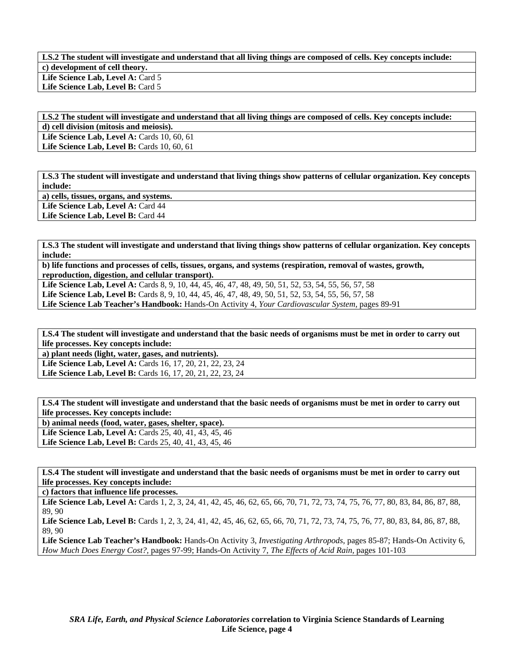LS.2 The student will investigate and understand that all living things are composed of cells. Key concepts include: **c) development of cell theory.**  Life Science Lab, Level A: Card 5 Life Science Lab, Level B: Card 5

LS.2 The student will investigate and understand that all living things are composed of cells. Key concepts include: **d) cell division (mitosis and meiosis). Life Science Lab, Level A: Cards 10, 60, 61 Life Science Lab, Level B:** Cards 10, 60, 61

**LS.3 The student will investigate and understand that living things show patterns of cellular organization. Key concepts include:** 

**a) cells, tissues, organs, and systems.** 

Life Science Lab, Level A: Card 44

**Life Science Lab, Level B:** Card 44

**LS.3 The student will investigate and understand that living things show patterns of cellular organization. Key concepts include:** 

**b) life functions and processes of cells, tissues, organs, and systems (respiration, removal of wastes, growth, reproduction, digestion, and cellular transport).** 

Life Science Lab, Level A: Cards 8, 9, 10, 44, 45, 46, 47, 48, 49, 50, 51, 52, 53, 54, 55, 56, 57, 58 **Life Science Lab, Level B:** Cards 8, 9, 10, 44, 45, 46, 47, 48, 49, 50, 51, 52, 53, 54, 55, 56, 57, 58 **Life Science Lab Teacher's Handbook:** Hands-On Activity 4, *Your Cardiovascular System,* pages 89-91

**LS.4 The student will investigate and understand that the basic needs of organisms must be met in order to carry out life processes. Key concepts include:** 

**a) plant needs (light, water, gases, and nutrients).** 

**Life Science Lab, Level A:** Cards 16, 17, 20, 21, 22, 23, 24 **Life Science Lab, Level B:** Cards 16, 17, 20, 21, 22, 23, 24

**LS.4 The student will investigate and understand that the basic needs of organisms must be met in order to carry out life processes. Key concepts include:** 

**b) animal needs (food, water, gases, shelter, space). Life Science Lab, Level A:** Cards 25, 40, 41, 43, 45, 46 Life Science Lab, Level B: Cards 25, 40, 41, 43, 45, 46

**LS.4 The student will investigate and understand that the basic needs of organisms must be met in order to carry out life processes. Key concepts include:** 

**c) factors that influence life processes.** 

Life Science Lab, Level A: Cards 1, 2, 3, 24, 41, 42, 45, 46, 62, 65, 66, 70, 71, 72, 73, 74, 75, 76, 77, 80, 83, 84, 86, 87, 88, 89, 90

Life Science Lab, Level B: Cards 1, 2, 3, 24, 41, 42, 45, 46, 62, 65, 66, 70, 71, 72, 73, 74, 75, 76, 77, 80, 83, 84, 86, 87, 88, 89, 90

**Life Science Lab Teacher's Handbook:** Hands-On Activity 3, *Investigating Arthropods,* pages 85-87; Hands-On Activity 6, *How Much Does Energy Cost?,* pages 97-99; Hands-On Activity 7, *The Effects of Acid Rain,* pages 101-103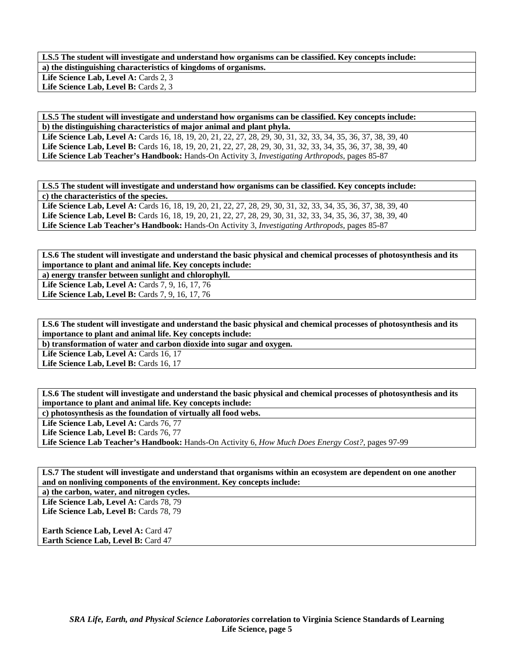**LS.5 The student will investigate and understand how organisms can be classified. Key concepts include: a) the distinguishing characteristics of kingdoms of organisms.**  Life Science Lab, Level A: Cards 2, 3 Life Science Lab, Level B: Cards 2, 3

**LS.5 The student will investigate and understand how organisms can be classified. Key concepts include: b) the distinguishing characteristics of major animal and plant phyla. Life Science Lab, Level A:** Cards 16, 18, 19, 20, 21, 22, 27, 28, 29, 30, 31, 32, 33, 34, 35, 36, 37, 38, 39, 40 **Life Science Lab, Level B:** Cards 16, 18, 19, 20, 21, 22, 27, 28, 29, 30, 31, 32, 33, 34, 35, 36, 37, 38, 39, 40 **Life Science Lab Teacher's Handbook:** Hands-On Activity 3, *Investigating Arthropods,* pages 85-87

**LS.5 The student will investigate and understand how organisms can be classified. Key concepts include: c) the characteristics of the species.**  Life Science Lab, Level A: Cards 16, 18, 19, 20, 21, 22, 27, 28, 29, 30, 31, 32, 33, 34, 35, 36, 37, 38, 39, 40 Life Science Lab, Level B: Cards 16, 18, 19, 20, 21, 22, 27, 28, 29, 30, 31, 32, 33, 34, 35, 36, 37, 38, 39, 40

**Life Science Lab Teacher's Handbook:** Hands-On Activity 3, *Investigating Arthropods,* pages 85-87

**LS.6 The student will investigate and understand the basic physical and chemical processes of photosynthesis and its importance to plant and animal life. Key concepts include:** 

**a) energy transfer between sunlight and chlorophyll. Life Science Lab, Level A: Cards 7, 9, 16, 17, 76** 

**Life Science Lab, Level B: Cards 7, 9, 16, 17, 76** 

**LS.6 The student will investigate and understand the basic physical and chemical processes of photosynthesis and its importance to plant and animal life. Key concepts include:** 

**b) transformation of water and carbon dioxide into sugar and oxygen.** 

Life Science Lab, Level A: Cards 16, 17

Life Science Lab, Level B: Cards 16, 17

**LS.6 The student will investigate and understand the basic physical and chemical processes of photosynthesis and its importance to plant and animal life. Key concepts include:** 

**c) photosynthesis as the foundation of virtually all food webs.** 

Life Science Lab, Level A: Cards 76, 77

Life Science Lab, Level B: Cards 76, 77

**Life Science Lab Teacher's Handbook:** Hands-On Activity 6, *How Much Does Energy Cost?,* pages 97-99

**LS.7 The student will investigate and understand that organisms within an ecosystem are dependent on one another and on nonliving components of the environment. Key concepts include:** 

**a) the carbon, water, and nitrogen cycles.** 

Life Science Lab, Level A: Cards 78, 79 Life Science Lab, Level B: Cards 78, 79

**Earth Science Lab, Level A: Card 47 Earth Science Lab, Level B: Card 47**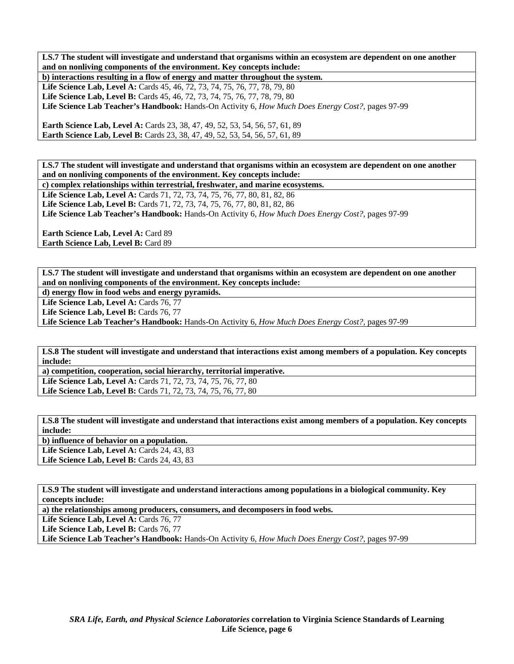**LS.7 The student will investigate and understand that organisms within an ecosystem are dependent on one another and on nonliving components of the environment. Key concepts include:** 

**b) interactions resulting in a flow of energy and matter throughout the system.**  Life Science Lab, Level A: Cards 45, 46, 72, 73, 74, 75, 76, 77, 78, 79, 80 Life Science Lab, Level B: Cards 45, 46, 72, 73, 74, 75, 76, 77, 78, 79, 80 **Life Science Lab Teacher's Handbook:** Hands-On Activity 6, *How Much Does Energy Cost?,* pages 97-99

**Earth Science Lab, Level A: Cards 23, 38, 47, 49, 52, 53, 54, 56, 57, 61, 89 Earth Science Lab, Level B:** Cards 23, 38, 47, 49, 52, 53, 54, 56, 57, 61, 89

**LS.7 The student will investigate and understand that organisms within an ecosystem are dependent on one another and on nonliving components of the environment. Key concepts include: c) complex relationships within terrestrial, freshwater, and marine ecosystems.** 

Life Science Lab, Level A: Cards 71, 72, 73, 74, 75, 76, 77, 80, 81, 82, 86 Life Science Lab, Level B: Cards 71, 72, 73, 74, 75, 76, 77, 80, 81, 82, 86 **Life Science Lab Teacher's Handbook:** Hands-On Activity 6, *How Much Does Energy Cost?,* pages 97-99

**Earth Science Lab, Level A: Card 89 Earth Science Lab, Level B:** Card 89

**LS.7 The student will investigate and understand that organisms within an ecosystem are dependent on one another and on nonliving components of the environment. Key concepts include:** 

**d) energy flow in food webs and energy pyramids.** 

Life Science Lab, Level A: Cards 76, 77

Life Science Lab, Level B: Cards 76, 77

**Life Science Lab Teacher's Handbook:** Hands-On Activity 6, *How Much Does Energy Cost?,* pages 97-99

**LS.8 The student will investigate and understand that interactions exist among members of a population. Key concepts include:** 

**a) competition, cooperation, social hierarchy, territorial imperative. Life Science Lab, Level A:** Cards 71, 72, 73, 74, 75, 76, 77, 80 **Life Science Lab, Level B:** Cards 71, 72, 73, 74, 75, 76, 77, 80

**LS.8 The student will investigate and understand that interactions exist among members of a population. Key concepts include:** 

**b) influence of behavior on a population.**  Life Science Lab, Level A: Cards 24, 43, 83 **Life Science Lab, Level B: Cards 24, 43, 83** 

**LS.9 The student will investigate and understand interactions among populations in a biological community. Key concepts include:** 

**a) the relationships among producers, consumers, and decomposers in food webs.** 

Life Science Lab, Level A: Cards 76, 77

Life Science Lab, Level B: Cards 76, 77

**Life Science Lab Teacher's Handbook:** Hands-On Activity 6, *How Much Does Energy Cost?,* pages 97-99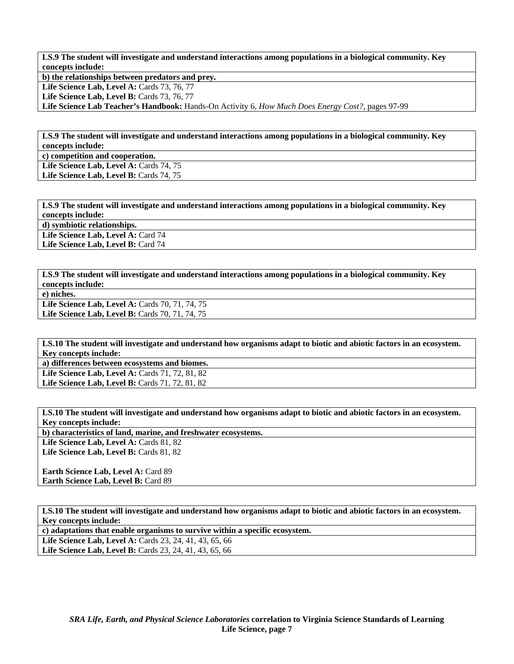**LS.9 The student will investigate and understand interactions among populations in a biological community. Key concepts include:** 

**b) the relationships between predators and prey.**  Life Science Lab, Level A: Cards 73, 76, 77 Life Science Lab, Level B: Cards 73, 76, 77 **Life Science Lab Teacher's Handbook:** Hands-On Activity 6, *How Much Does Energy Cost?,* pages 97-99

**LS.9 The student will investigate and understand interactions among populations in a biological community. Key concepts include:** 

**c) competition and cooperation.** 

Life Science Lab, Level A: Cards 74, 75 Life Science Lab, Level B: Cards 74, 75

**LS.9 The student will investigate and understand interactions among populations in a biological community. Key concepts include:** 

**d) symbiotic relationships.** 

Life Science Lab, Level A: Card 74 Life Science Lab, Level B: Card 74

**LS.9 The student will investigate and understand interactions among populations in a biological community. Key concepts include:** 

**e) niches.** 

Life Science Lab, Level A: Cards 70, 71, 74, 75 Life Science Lab, Level B: Cards 70, 71, 74, 75

**LS.10 The student will investigate and understand how organisms adapt to biotic and abiotic factors in an ecosystem. Key concepts include:** 

**a) differences between ecosystems and biomes.** 

Life Science Lab, Level A: Cards 71, 72, 81, 82 Life Science Lab, Level B: Cards 71, 72, 81, 82

**LS.10 The student will investigate and understand how organisms adapt to biotic and abiotic factors in an ecosystem. Key concepts include:** 

**b) characteristics of land, marine, and freshwater ecosystems.** 

Life Science Lab, Level A: Cards 81, 82 Life Science Lab, Level B: Cards 81, 82

Earth Science Lab, Level A: Card 89 **Earth Science Lab, Level B: Card 89** 

**LS.10 The student will investigate and understand how organisms adapt to biotic and abiotic factors in an ecosystem. Key concepts include:** 

**c) adaptations that enable organisms to survive within a specific ecosystem.** 

Life Science Lab, Level A: Cards 23, 24, 41, 43, 65, 66 **Life Science Lab, Level B:** Cards 23, 24, 41, 43, 65, 66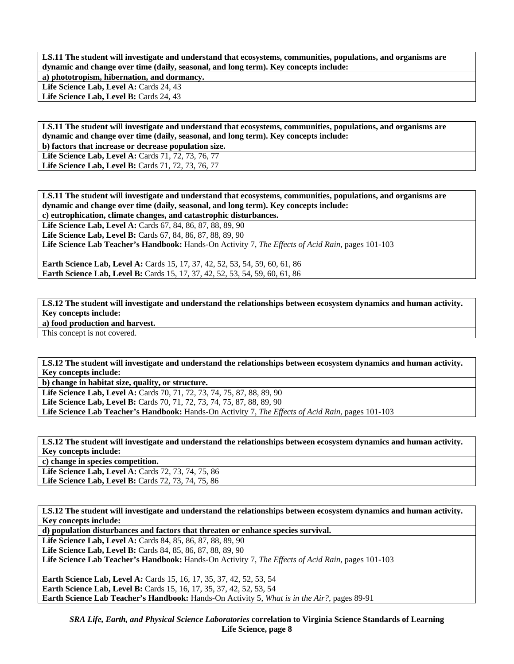**LS.11 The student will investigate and understand that ecosystems, communities, populations, and organisms are dynamic and change over time (daily, seasonal, and long term). Key concepts include: a) phototropism, hibernation, and dormancy.** 

Life Science Lab, Level A: Cards 24, 43

Life Science Lab, Level B: Cards 24, 43

**LS.11 The student will investigate and understand that ecosystems, communities, populations, and organisms are dynamic and change over time (daily, seasonal, and long term). Key concepts include:** 

**b) factors that increase or decrease population size.** 

Life Science Lab, Level A: Cards 71, 72, 73, 76, 77 Life Science Lab, Level B: Cards 71, 72, 73, 76, 77

**LS.11 The student will investigate and understand that ecosystems, communities, populations, and organisms are dynamic and change over time (daily, seasonal, and long term). Key concepts include:** 

**c) eutrophication, climate changes, and catastrophic disturbances.** 

**Life Science Lab, Level A:** Cards 67, 84, 86, 87, 88, 89, 90 **Life Science Lab, Level B:** Cards 67, 84, 86, 87, 88, 89, 90

**Life Science Lab Teacher's Handbook:** Hands-On Activity 7, *The Effects of Acid Rain,* pages 101-103

**Earth Science Lab, Level A: Cards 15, 17, 37, 42, 52, 53, 54, 59, 60, 61, 86 Earth Science Lab, Level B:** Cards 15, 17, 37, 42, 52, 53, 54, 59, 60, 61, 86

**LS.12 The student will investigate and understand the relationships between ecosystem dynamics and human activity. Key concepts include: a) food production and harvest.** 

This concept is not covered.

**LS.12 The student will investigate and understand the relationships between ecosystem dynamics and human activity. Key concepts include:** 

**b) change in habitat size, quality, or structure.** 

Life Science Lab, Level A: Cards 70, 71, 72, 73, 74, 75, 87, 88, 89, 90 Life Science Lab, Level B: Cards 70, 71, 72, 73, 74, 75, 87, 88, 89, 90 **Life Science Lab Teacher's Handbook:** Hands-On Activity 7, *The Effects of Acid Rain,* pages 101-103

**LS.12 The student will investigate and understand the relationships between ecosystem dynamics and human activity. Key concepts include:** 

**c) change in species competition.** 

Life Science Lab, Level A: Cards 72, 73, 74, 75, 86 Life Science Lab, Level B: Cards 72, 73, 74, 75, 86

**LS.12 The student will investigate and understand the relationships between ecosystem dynamics and human activity. Key concepts include:** 

**d) population disturbances and factors that threaten or enhance species survival.** 

**Life Science Lab, Level A:** Cards 84, 85, 86, 87, 88, 89, 90 **Life Science Lab, Level B:** Cards 84, 85, 86, 87, 88, 89, 90 **Life Science Lab Teacher's Handbook:** Hands-On Activity 7, *The Effects of Acid Rain,* pages 101-103

**Earth Science Lab, Level A:** Cards 15, 16, 17, 35, 37, 42, 52, 53, 54 **Earth Science Lab, Level B:** Cards 15, 16, 17, 35, 37, 42, 52, 53, 54 **Earth Science Lab Teacher's Handbook:** Hands-On Activity 5, *What is in the Air?,* pages 89-91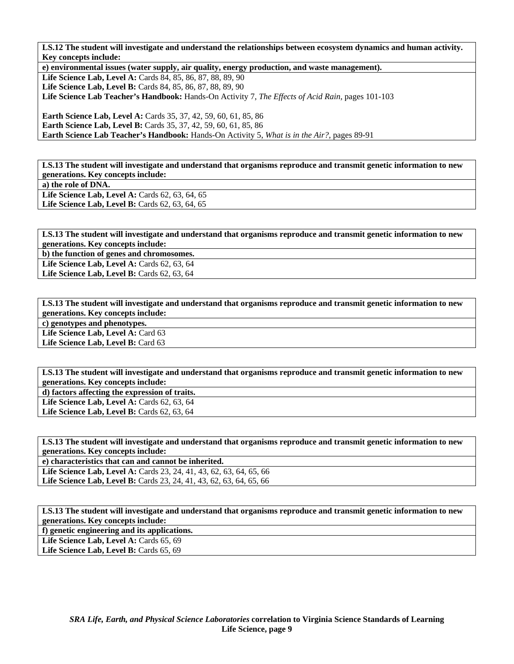**LS.12 The student will investigate and understand the relationships between ecosystem dynamics and human activity. Key concepts include:** 

**e) environmental issues (water supply, air quality, energy production, and waste management).** 

**Life Science Lab, Level A:** Cards 84, 85, 86, 87, 88, 89, 90 Life Science Lab, Level B: Cards 84, 85, 86, 87, 88, 89, 90

**Life Science Lab Teacher's Handbook:** Hands-On Activity 7, *The Effects of Acid Rain,* pages 101-103

**Earth Science Lab, Level A:** Cards 35, 37, 42, 59, 60, 61, 85, 86 **Earth Science Lab, Level B:** Cards 35, 37, 42, 59, 60, 61, 85, 86 **Earth Science Lab Teacher's Handbook:** Hands-On Activity 5, *What is in the Air?,* pages 89-91

**LS.13 The student will investigate and understand that organisms reproduce and transmit genetic information to new generations. Key concepts include: a) the role of DNA.**  Life Science Lab, Level A: Cards 62, 63, 64, 65 Life Science Lab, Level B: Cards 62, 63, 64, 65

**LS.13 The student will investigate and understand that organisms reproduce and transmit genetic information to new generations. Key concepts include:** 

**b) the function of genes and chromosomes.** 

**Life Science Lab, Level A: Cards 62, 63, 64 Life Science Lab, Level B:** Cards 62, 63, 64

**LS.13 The student will investigate and understand that organisms reproduce and transmit genetic information to new generations. Key concepts include: c) genotypes and phenotypes.**  Life Science Lab, Level A: Card 63 Life Science Lab, Level B: Card 63

**LS.13 The student will investigate and understand that organisms reproduce and transmit genetic information to new generations. Key concepts include:** 

**d) factors affecting the expression of traits.** 

Life Science Lab, Level A: Cards 62, 63, 64 **Life Science Lab, Level B:** Cards 62, 63, 64

**LS.13 The student will investigate and understand that organisms reproduce and transmit genetic information to new generations. Key concepts include:** 

**e) characteristics that can and cannot be inherited.** 

Life Science Lab, Level A: Cards 23, 24, 41, 43, 62, 63, 64, 65, 66 Life Science Lab, Level B: Cards 23, 24, 41, 43, 62, 63, 64, 65, 66

**LS.13 The student will investigate and understand that organisms reproduce and transmit genetic information to new generations. Key concepts include:** 

**f) genetic engineering and its applications.** 

Life Science Lab, Level A: Cards 65, 69

Life Science Lab, Level B: Cards 65, 69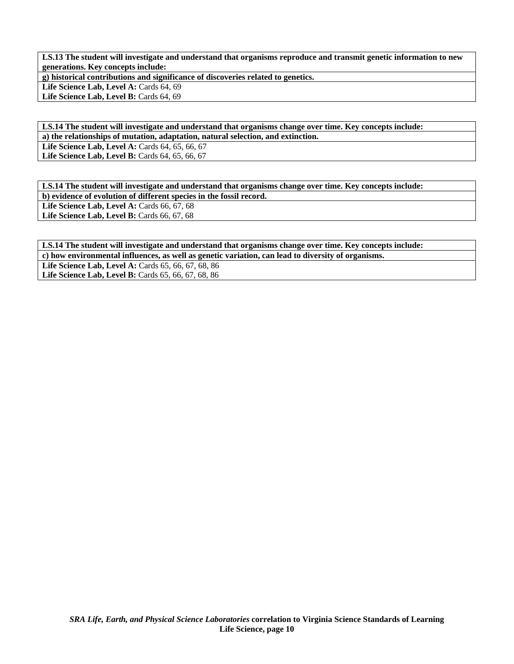**LS.13 The student will investigate and understand that organisms reproduce and transmit genetic information to new generations. Key concepts include:** 

**g) historical contributions and significance of discoveries related to genetics.** 

Life Science Lab, Level A: Cards 64, 69

Life Science Lab, Level B: Cards 64, 69

**LS.14 The student will investigate and understand that organisms change over time. Key concepts include: a) the relationships of mutation, adaptation, natural selection, and extinction.** 

Life Science Lab, Level A: Cards 64, 65, 66, 67 Life Science Lab, Level B: Cards 64, 65, 66, 67

**LS.14 The student will investigate and understand that organisms change over time. Key concepts include: b) evidence of evolution of different species in the fossil record.** 

**Life Science Lab, Level A: Cards 66, 67, 68** 

Life Science Lab, Level B: Cards 66, 67, 68

**LS.14 The student will investigate and understand that organisms change over time. Key concepts include: c) how environmental influences, as well as genetic variation, can lead to diversity of organisms.** 

Life Science Lab, Level A: Cards 65, 66, 67, 68, 86 Life Science Lab, Level B: Cards 65, 66, 67, 68, 86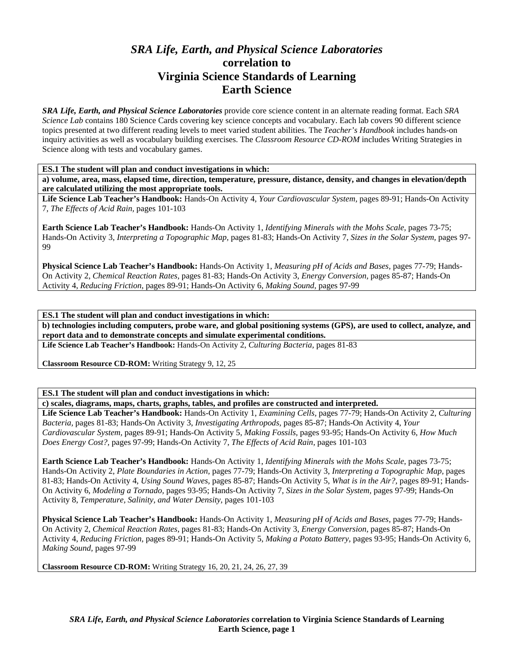# *SRA Life, Earth, and Physical Science Laboratories*  **correlation to Virginia Science Standards of Learning Earth Science**

*SRA Life, Earth, and Physical Science Laboratories* provide core science content in an alternate reading format. Each *SRA Science Lab* contains 180 Science Cards covering key science concepts and vocabulary. Each lab covers 90 different science topics presented at two different reading levels to meet varied student abilities. The *Teacher's Handbook* includes hands-on inquiry activities as well as vocabulary building exercises. The *Classroom Resource CD-ROM* includes Writing Strategies in Science along with tests and vocabulary games.

**ES.1 The student will plan and conduct investigations in which:** 

**a) volume, area, mass, elapsed time, direction, temperature, pressure, distance, density, and changes in elevation/depth are calculated utilizing the most appropriate tools.** 

**Life Science Lab Teacher's Handbook:** Hands-On Activity 4, *Your Cardiovascular System,* pages 89-91; Hands-On Activity 7, *The Effects of Acid Rain,* pages 101-103

**Earth Science Lab Teacher's Handbook:** Hands-On Activity 1, *Identifying Minerals with the Mohs Scale,* pages 73-75; Hands-On Activity 3, *Interpreting a Topographic Map,* pages 81-83; Hands-On Activity 7, *Sizes in the Solar System,* pages 97- 99

**Physical Science Lab Teacher's Handbook:** Hands-On Activity 1, *Measuring pH of Acids and Bases,* pages 77-79; Hands-On Activity 2, *Chemical Reaction Rates,* pages 81-83; Hands-On Activity 3, *Energy Conversion,* pages 85-87; Hands-On Activity 4, *Reducing Friction,* pages 89-91; Hands-On Activity 6, *Making Sound,* pages 97-99

**ES.1 The student will plan and conduct investigations in which:** 

**b) technologies including computers, probe ware, and global positioning systems (GPS), are used to collect, analyze, and report data and to demonstrate concepts and simulate experimental conditions.** 

**Life Science Lab Teacher's Handbook:** Hands-On Activity 2, *Culturing Bacteria,* pages 81-83

**Classroom Resource CD-ROM:** Writing Strategy 9, 12, 25

**ES.1 The student will plan and conduct investigations in which:** 

**c) scales, diagrams, maps, charts, graphs, tables, and profiles are constructed and interpreted.** 

**Life Science Lab Teacher's Handbook:** Hands-On Activity 1, *Examining Cells,* pages 77-79; Hands-On Activity 2, *Culturing Bacteria,* pages 81-83; Hands-On Activity 3, *Investigating Arthropods,* pages 85-87; Hands-On Activity 4, *Your Cardiovascular System,* pages 89-91; Hands-On Activity 5, *Making Fossils,* pages 93-95; Hands-On Activity 6, *How Much Does Energy Cost?,* pages 97-99; Hands-On Activity 7, *The Effects of Acid Rain,* pages 101-103

**Earth Science Lab Teacher's Handbook:** Hands-On Activity 1, *Identifying Minerals with the Mohs Scale,* pages 73-75; Hands-On Activity 2, *Plate Boundaries in Action,* pages 77-79; Hands-On Activity 3, *Interpreting a Topographic Map,* pages 81-83; Hands-On Activity 4, *Using Sound Waves,* pages 85-87; Hands-On Activity 5, *What is in the Air?,* pages 89-91; Hands-On Activity 6, *Modeling a Tornado,* pages 93-95; Hands-On Activity 7, *Sizes in the Solar System,* pages 97-99; Hands-On Activity 8, *Temperature, Salinity, and Water Density,* pages 101-103

**Physical Science Lab Teacher's Handbook:** Hands-On Activity 1, *Measuring pH of Acids and Bases,* pages 77-79; Hands-On Activity 2, *Chemical Reaction Rates,* pages 81-83; Hands-On Activity 3, *Energy Conversion,* pages 85-87; Hands-On Activity 4, *Reducing Friction,* pages 89-91; Hands-On Activity 5, *Making a Potato Battery,* pages 93-95; Hands-On Activity 6, *Making Sound,* pages 97-99

**Classroom Resource CD-ROM:** Writing Strategy 16, 20, 21, 24, 26, 27, 39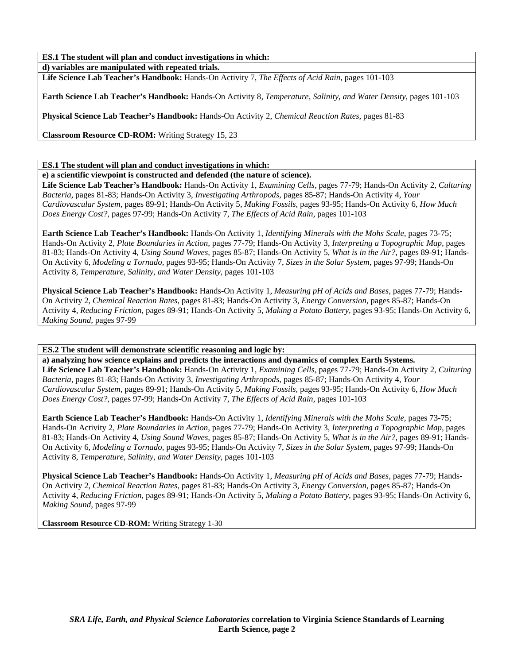**d) variables are manipulated with repeated trials. Life Science Lab Teacher's Handbook:** Hands-On Activity 7, *The Effects of Acid Rain,* pages 101-103

**Earth Science Lab Teacher's Handbook:** Hands-On Activity 8, *Temperature, Salinity, and Water Density,* pages 101-103

**Physical Science Lab Teacher's Handbook:** Hands-On Activity 2, *Chemical Reaction Rates,* pages 81-83

**Classroom Resource CD-ROM:** Writing Strategy 15, 23

**ES.1 The student will plan and conduct investigations in which:** 

**e) a scientific viewpoint is constructed and defended (the nature of science).** 

**Life Science Lab Teacher's Handbook:** Hands-On Activity 1, *Examining Cells,* pages 77-79; Hands-On Activity 2, *Culturing Bacteria,* pages 81-83; Hands-On Activity 3, *Investigating Arthropods,* pages 85-87; Hands-On Activity 4, *Your Cardiovascular System,* pages 89-91; Hands-On Activity 5, *Making Fossils,* pages 93-95; Hands-On Activity 6, *How Much Does Energy Cost?,* pages 97-99; Hands-On Activity 7, *The Effects of Acid Rain,* pages 101-103

**Earth Science Lab Teacher's Handbook:** Hands-On Activity 1, *Identifying Minerals with the Mohs Scale,* pages 73-75; Hands-On Activity 2, *Plate Boundaries in Action,* pages 77-79; Hands-On Activity 3, *Interpreting a Topographic Map,* pages 81-83; Hands-On Activity 4, *Using Sound Waves,* pages 85-87; Hands-On Activity 5, *What is in the Air?,* pages 89-91; Hands-On Activity 6, *Modeling a Tornado,* pages 93-95; Hands-On Activity 7, *Sizes in the Solar System,* pages 97-99; Hands-On Activity 8, *Temperature, Salinity, and Water Density,* pages 101-103

**Physical Science Lab Teacher's Handbook:** Hands-On Activity 1, *Measuring pH of Acids and Bases,* pages 77-79; Hands-On Activity 2, *Chemical Reaction Rates,* pages 81-83; Hands-On Activity 3, *Energy Conversion,* pages 85-87; Hands-On Activity 4, *Reducing Friction,* pages 89-91; Hands-On Activity 5, *Making a Potato Battery,* pages 93-95; Hands-On Activity 6, *Making Sound,* pages 97-99

**ES.2 The student will demonstrate scientific reasoning and logic by:** 

**a) analyzing how science explains and predicts the interactions and dynamics of complex Earth Systems.** 

**Life Science Lab Teacher's Handbook:** Hands-On Activity 1, *Examining Cells,* pages 77-79; Hands-On Activity 2, *Culturing Bacteria,* pages 81-83; Hands-On Activity 3, *Investigating Arthropods,* pages 85-87; Hands-On Activity 4, *Your Cardiovascular System,* pages 89-91; Hands-On Activity 5, *Making Fossils,* pages 93-95; Hands-On Activity 6, *How Much Does Energy Cost?,* pages 97-99; Hands-On Activity 7, *The Effects of Acid Rain,* pages 101-103

**Earth Science Lab Teacher's Handbook:** Hands-On Activity 1, *Identifying Minerals with the Mohs Scale,* pages 73-75; Hands-On Activity 2, *Plate Boundaries in Action,* pages 77-79; Hands-On Activity 3, *Interpreting a Topographic Map,* pages 81-83; Hands-On Activity 4, *Using Sound Waves,* pages 85-87; Hands-On Activity 5, *What is in the Air?,* pages 89-91; Hands-On Activity 6, *Modeling a Tornado,* pages 93-95; Hands-On Activity 7, *Sizes in the Solar System,* pages 97-99; Hands-On Activity 8, *Temperature, Salinity, and Water Density,* pages 101-103

**Physical Science Lab Teacher's Handbook:** Hands-On Activity 1, *Measuring pH of Acids and Bases,* pages 77-79; Hands-On Activity 2, *Chemical Reaction Rates,* pages 81-83; Hands-On Activity 3, *Energy Conversion,* pages 85-87; Hands-On Activity 4, *Reducing Friction,* pages 89-91; Hands-On Activity 5, *Making a Potato Battery,* pages 93-95; Hands-On Activity 6, *Making Sound,* pages 97-99

**Classroom Resource CD-ROM:** Writing Strategy 1-30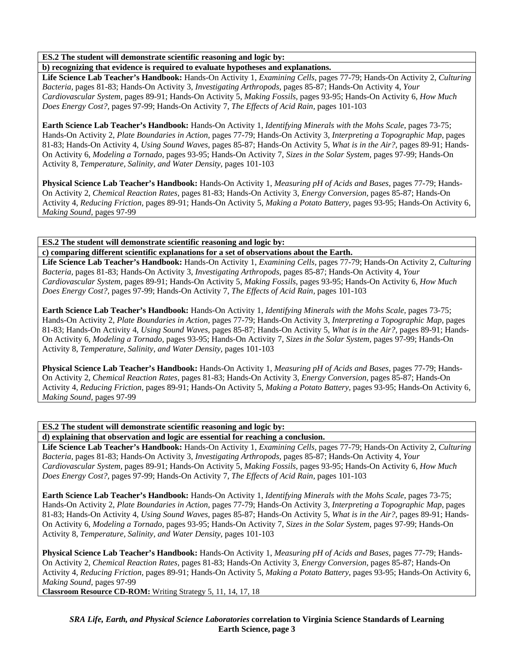## **ES.2 The student will demonstrate scientific reasoning and logic by:**

**b) recognizing that evidence is required to evaluate hypotheses and explanations.** 

**Life Science Lab Teacher's Handbook:** Hands-On Activity 1, *Examining Cells,* pages 77-79; Hands-On Activity 2, *Culturing Bacteria,* pages 81-83; Hands-On Activity 3, *Investigating Arthropods,* pages 85-87; Hands-On Activity 4, *Your Cardiovascular System,* pages 89-91; Hands-On Activity 5, *Making Fossils,* pages 93-95; Hands-On Activity 6, *How Much Does Energy Cost?,* pages 97-99; Hands-On Activity 7, *The Effects of Acid Rain,* pages 101-103

**Earth Science Lab Teacher's Handbook:** Hands-On Activity 1, *Identifying Minerals with the Mohs Scale,* pages 73-75; Hands-On Activity 2, *Plate Boundaries in Action,* pages 77-79; Hands-On Activity 3, *Interpreting a Topographic Map,* pages 81-83; Hands-On Activity 4, *Using Sound Waves,* pages 85-87; Hands-On Activity 5, *What is in the Air?,* pages 89-91; Hands-On Activity 6, *Modeling a Tornado,* pages 93-95; Hands-On Activity 7, *Sizes in the Solar System,* pages 97-99; Hands-On Activity 8, *Temperature, Salinity, and Water Density,* pages 101-103

**Physical Science Lab Teacher's Handbook:** Hands-On Activity 1, *Measuring pH of Acids and Bases,* pages 77-79; Hands-On Activity 2, *Chemical Reaction Rates,* pages 81-83; Hands-On Activity 3, *Energy Conversion,* pages 85-87; Hands-On Activity 4, *Reducing Friction,* pages 89-91; Hands-On Activity 5, *Making a Potato Battery,* pages 93-95; Hands-On Activity 6, *Making Sound,* pages 97-99

### **ES.2 The student will demonstrate scientific reasoning and logic by:**

**c) comparing different scientific explanations for a set of observations about the Earth.** 

**Life Science Lab Teacher's Handbook:** Hands-On Activity 1, *Examining Cells,* pages 77-79; Hands-On Activity 2, *Culturing Bacteria,* pages 81-83; Hands-On Activity 3, *Investigating Arthropods,* pages 85-87; Hands-On Activity 4, *Your Cardiovascular System,* pages 89-91; Hands-On Activity 5, *Making Fossils,* pages 93-95; Hands-On Activity 6, *How Much Does Energy Cost?,* pages 97-99; Hands-On Activity 7, *The Effects of Acid Rain,* pages 101-103

**Earth Science Lab Teacher's Handbook:** Hands-On Activity 1, *Identifying Minerals with the Mohs Scale,* pages 73-75; Hands-On Activity 2, *Plate Boundaries in Action,* pages 77-79; Hands-On Activity 3, *Interpreting a Topographic Map,* pages 81-83; Hands-On Activity 4, *Using Sound Waves,* pages 85-87; Hands-On Activity 5, *What is in the Air?,* pages 89-91; Hands-On Activity 6, *Modeling a Tornado,* pages 93-95; Hands-On Activity 7, *Sizes in the Solar System,* pages 97-99; Hands-On Activity 8, *Temperature, Salinity, and Water Density,* pages 101-103

**Physical Science Lab Teacher's Handbook:** Hands-On Activity 1, *Measuring pH of Acids and Bases,* pages 77-79; Hands-On Activity 2, *Chemical Reaction Rates,* pages 81-83; Hands-On Activity 3, *Energy Conversion,* pages 85-87; Hands-On Activity 4, *Reducing Friction,* pages 89-91; Hands-On Activity 5, *Making a Potato Battery,* pages 93-95; Hands-On Activity 6, *Making Sound,* pages 97-99

**ES.2 The student will demonstrate scientific reasoning and logic by:** 

**d) explaining that observation and logic are essential for reaching a conclusion.** 

**Life Science Lab Teacher's Handbook:** Hands-On Activity 1, *Examining Cells,* pages 77-79; Hands-On Activity 2, *Culturing Bacteria,* pages 81-83; Hands-On Activity 3, *Investigating Arthropods,* pages 85-87; Hands-On Activity 4, *Your Cardiovascular System,* pages 89-91; Hands-On Activity 5, *Making Fossils,* pages 93-95; Hands-On Activity 6, *How Much Does Energy Cost?,* pages 97-99; Hands-On Activity 7, *The Effects of Acid Rain,* pages 101-103

**Earth Science Lab Teacher's Handbook:** Hands-On Activity 1, *Identifying Minerals with the Mohs Scale,* pages 73-75; Hands-On Activity 2, *Plate Boundaries in Action,* pages 77-79; Hands-On Activity 3, *Interpreting a Topographic Map,* pages 81-83; Hands-On Activity 4, *Using Sound Waves,* pages 85-87; Hands-On Activity 5, *What is in the Air?,* pages 89-91; Hands-On Activity 6, *Modeling a Tornado,* pages 93-95; Hands-On Activity 7, *Sizes in the Solar System,* pages 97-99; Hands-On Activity 8, *Temperature, Salinity, and Water Density,* pages 101-103

**Physical Science Lab Teacher's Handbook:** Hands-On Activity 1, *Measuring pH of Acids and Bases,* pages 77-79; Hands-On Activity 2, *Chemical Reaction Rates,* pages 81-83; Hands-On Activity 3, *Energy Conversion,* pages 85-87; Hands-On Activity 4, *Reducing Friction,* pages 89-91; Hands-On Activity 5, *Making a Potato Battery,* pages 93-95; Hands-On Activity 6, *Making Sound,* pages 97-99

**Classroom Resource CD-ROM:** Writing Strategy 5, 11, 14, 17, 18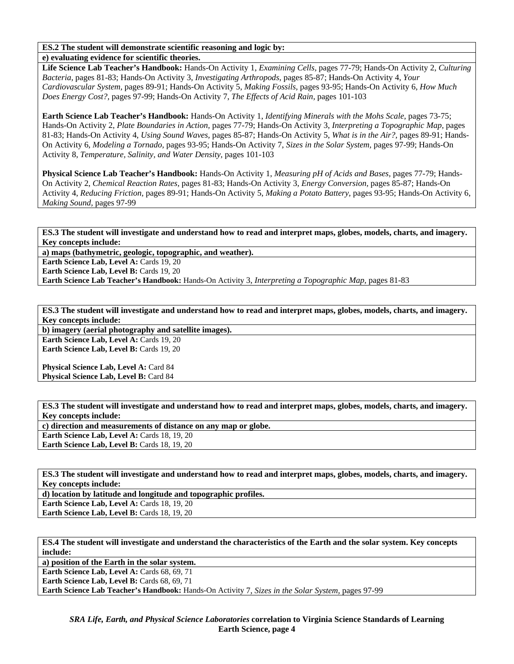#### **ES.2 The student will demonstrate scientific reasoning and logic by: e) evaluating evidence for scientific theories.**

**Life Science Lab Teacher's Handbook:** Hands-On Activity 1, *Examining Cells,* pages 77-79; Hands-On Activity 2, *Culturing Bacteria,* pages 81-83; Hands-On Activity 3, *Investigating Arthropods,* pages 85-87; Hands-On Activity 4, *Your Cardiovascular System,* pages 89-91; Hands-On Activity 5, *Making Fossils,* pages 93-95; Hands-On Activity 6, *How Much Does Energy Cost?,* pages 97-99; Hands-On Activity 7, *The Effects of Acid Rain,* pages 101-103

**Earth Science Lab Teacher's Handbook:** Hands-On Activity 1, *Identifying Minerals with the Mohs Scale,* pages 73-75; Hands-On Activity 2, *Plate Boundaries in Action,* pages 77-79; Hands-On Activity 3, *Interpreting a Topographic Map,* pages 81-83; Hands-On Activity 4, *Using Sound Waves,* pages 85-87; Hands-On Activity 5, *What is in the Air?,* pages 89-91; Hands-On Activity 6, *Modeling a Tornado,* pages 93-95; Hands-On Activity 7, *Sizes in the Solar System,* pages 97-99; Hands-On Activity 8, *Temperature, Salinity, and Water Density,* pages 101-103

**Physical Science Lab Teacher's Handbook:** Hands-On Activity 1, *Measuring pH of Acids and Bases,* pages 77-79; Hands-On Activity 2, *Chemical Reaction Rates,* pages 81-83; Hands-On Activity 3, *Energy Conversion,* pages 85-87; Hands-On Activity 4, *Reducing Friction,* pages 89-91; Hands-On Activity 5, *Making a Potato Battery,* pages 93-95; Hands-On Activity 6, *Making Sound,* pages 97-99

### **ES.3 The student will investigate and understand how to read and interpret maps, globes, models, charts, and imagery. Key concepts include:**

**a) maps (bathymetric, geologic, topographic, and weather).** 

**Earth Science Lab, Level A: Cards 19, 20 Earth Science Lab, Level B: Cards 19, 20** 

**Earth Science Lab Teacher's Handbook:** Hands-On Activity 3, *Interpreting a Topographic Map,* pages 81-83

**ES.3 The student will investigate and understand how to read and interpret maps, globes, models, charts, and imagery. Key concepts include:** 

**b) imagery (aerial photography and satellite images).** 

Earth Science Lab, Level A: Cards 19, 20 Earth Science Lab, Level B: Cards 19, 20

**Physical Science Lab, Level A: Card 84 Physical Science Lab, Level B: Card 84** 

**ES.3 The student will investigate and understand how to read and interpret maps, globes, models, charts, and imagery. Key concepts include:** 

**c) direction and measurements of distance on any map or globe. Earth Science Lab, Level A: Cards 18, 19, 20 Earth Science Lab, Level B: Cards 18, 19, 20** 

**ES.3 The student will investigate and understand how to read and interpret maps, globes, models, charts, and imagery. Key concepts include:** 

**d) location by latitude and longitude and topographic profiles.**  Earth Science Lab, Level A: Cards 18, 19, 20

**Earth Science Lab, Level B: Cards 18, 19, 20** 

**ES.4 The student will investigate and understand the characteristics of the Earth and the solar system. Key concepts include:** 

**a) position of the Earth in the solar system.** 

Earth Science Lab, Level A: Cards 68, 69, 71

Earth Science Lab, Level B: Cards 68, 69, 71

**Earth Science Lab Teacher's Handbook:** Hands-On Activity 7, *Sizes in the Solar System,* pages 97-99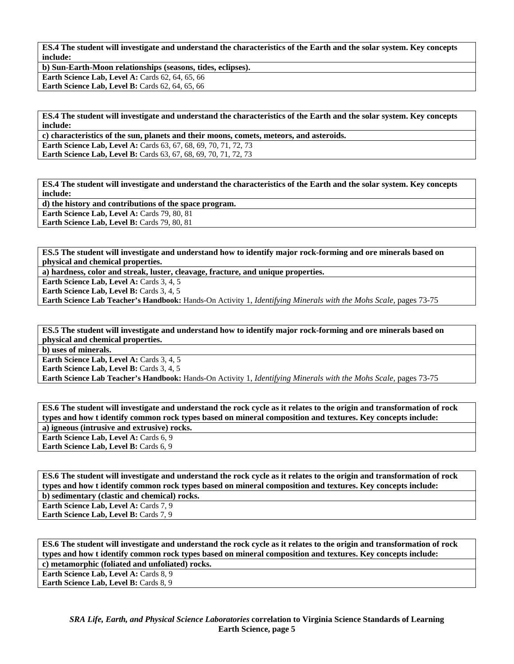**ES.4 The student will investigate and understand the characteristics of the Earth and the solar system. Key concepts include:** 

**b) Sun-Earth-Moon relationships (seasons, tides, eclipses). Earth Science Lab, Level A: Cards 62, 64, 65, 66 Earth Science Lab, Level B: Cards 62, 64, 65, 66** 

**ES.4 The student will investigate and understand the characteristics of the Earth and the solar system. Key concepts include:** 

**c) characteristics of the sun, planets and their moons, comets, meteors, and asteroids.** 

**Earth Science Lab, Level A: Cards 63, 67, 68, 69, 70, 71, 72, 73 Earth Science Lab, Level B:** Cards 63, 67, 68, 69, 70, 71, 72, 73

**ES.4 The student will investigate and understand the characteristics of the Earth and the solar system. Key concepts include:** 

**d) the history and contributions of the space program. Earth Science Lab, Level A: Cards 79, 80, 81 Earth Science Lab, Level B: Cards 79, 80, 81** 

**ES.5 The student will investigate and understand how to identify major rock-forming and ore minerals based on physical and chemical properties.** 

**a) hardness, color and streak, luster, cleavage, fracture, and unique properties.** 

**Earth Science Lab, Level A: Cards 3, 4, 5** 

Earth Science Lab, Level B: Cards 3, 4, 5

**Earth Science Lab Teacher's Handbook:** Hands-On Activity 1, *Identifying Minerals with the Mohs Scale,* pages 73-75

**ES.5 The student will investigate and understand how to identify major rock-forming and ore minerals based on physical and chemical properties.** 

**b) uses of minerals.** 

Earth Science Lab, Level A: Cards 3, 4, 5 Earth Science Lab, Level B: Cards 3, 4, 5

**Earth Science Lab Teacher's Handbook:** Hands-On Activity 1, *Identifying Minerals with the Mohs Scale,* pages 73-75

**ES.6 The student will investigate and understand the rock cycle as it relates to the origin and transformation of rock types and how t identify common rock types based on mineral composition and textures. Key concepts include: a) igneous (intrusive and extrusive) rocks.**  Earth Science Lab, Level A: Cards 6, 9 Earth Science Lab, Level B: Cards 6, 9

**ES.6 The student will investigate and understand the rock cycle as it relates to the origin and transformation of rock types and how t identify common rock types based on mineral composition and textures. Key concepts include: b) sedimentary (clastic and chemical) rocks.** 

Earth Science Lab, Level A: Cards 7, 9

Earth Science Lab, Level B: Cards 7, 9

**ES.6 The student will investigate and understand the rock cycle as it relates to the origin and transformation of rock types and how t identify common rock types based on mineral composition and textures. Key concepts include: c) metamorphic (foliated and unfoliated) rocks.** 

**Earth Science Lab, Level A: Cards 8, 9 Earth Science Lab, Level B: Cards 8, 9**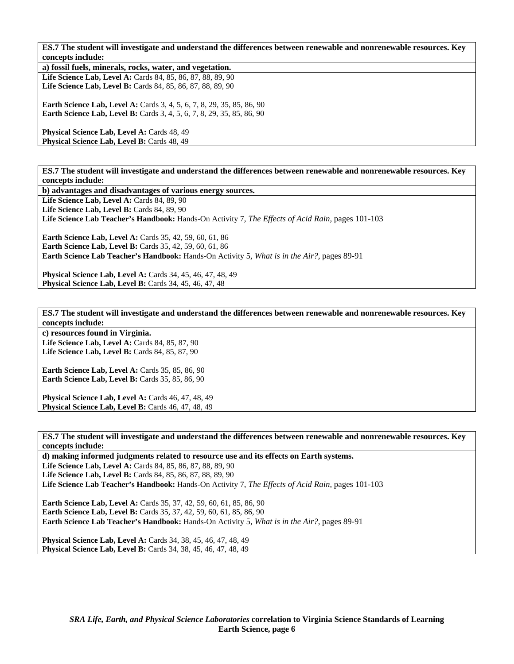**ES.7 The student will investigate and understand the differences between renewable and nonrenewable resources. Key concepts include:** 

**a) fossil fuels, minerals, rocks, water, and vegetation. Life Science Lab, Level A:** Cards 84, 85, 86, 87, 88, 89, 90 **Life Science Lab, Level B:** Cards 84, 85, 86, 87, 88, 89, 90

**Earth Science Lab, Level A: Cards 3, 4, 5, 6, 7, 8, 29, 35, 85, 86, 90 Earth Science Lab, Level B:** Cards 3, 4, 5, 6, 7, 8, 29, 35, 85, 86, 90

**Physical Science Lab, Level A: Cards 48, 49** Physical Science Lab, Level B: Cards 48, 49

**ES.7 The student will investigate and understand the differences between renewable and nonrenewable resources. Key concepts include:** 

**b) advantages and disadvantages of various energy sources.** 

Life Science Lab, Level A: Cards 84, 89, 90

Life Science Lab, Level B: Cards 84, 89, 90

**Life Science Lab Teacher's Handbook:** Hands-On Activity 7, *The Effects of Acid Rain,* pages 101-103

**Earth Science Lab, Level A: Cards 35, 42, 59, 60, 61, 86 Earth Science Lab, Level B:** Cards 35, 42, 59, 60, 61, 86 **Earth Science Lab Teacher's Handbook:** Hands-On Activity 5, *What is in the Air?,* pages 89-91

**Physical Science Lab, Level A:** Cards 34, 45, 46, 47, 48, 49 **Physical Science Lab, Level B: Cards 34, 45, 46, 47, 48** 

**ES.7 The student will investigate and understand the differences between renewable and nonrenewable resources. Key concepts include:** 

**c) resources found in Virginia.** 

Life Science Lab, Level A: Cards 84, 85, 87, 90 **Life Science Lab, Level B: Cards 84, 85, 87, 90** 

**Earth Science Lab, Level A: Cards 35, 85, 86, 90 Earth Science Lab, Level B: Cards 35, 85, 86, 90** 

Physical Science Lab, Level A: Cards 46, 47, 48, 49 **Physical Science Lab, Level B: Cards 46, 47, 48, 49** 

**ES.7 The student will investigate and understand the differences between renewable and nonrenewable resources. Key concepts include:** 

**d) making informed judgments related to resource use and its effects on Earth systems.** 

Life Science Lab, Level A: Cards 84, 85, 86, 87, 88, 89, 90 Life Science Lab, Level B: Cards 84, 85, 86, 87, 88, 89, 90 **Life Science Lab Teacher's Handbook:** Hands-On Activity 7, *The Effects of Acid Rain,* pages 101-103

**Earth Science Lab, Level A: Cards 35, 37, 42, 59, 60, 61, 85, 86, 90 Earth Science Lab, Level B:** Cards 35, 37, 42, 59, 60, 61, 85, 86, 90 **Earth Science Lab Teacher's Handbook:** Hands-On Activity 5, *What is in the Air?,* pages 89-91

**Physical Science Lab, Level A:** Cards 34, 38, 45, 46, 47, 48, 49 **Physical Science Lab, Level B:** Cards 34, 38, 45, 46, 47, 48, 49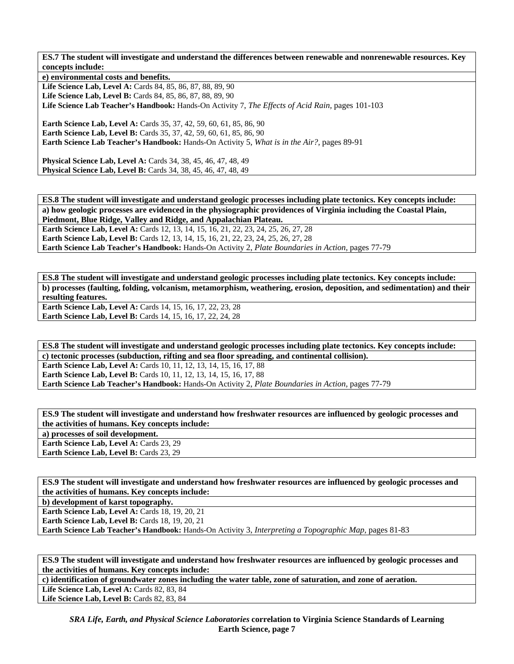**ES.7 The student will investigate and understand the differences between renewable and nonrenewable resources. Key concepts include:** 

**e) environmental costs and benefits. Life Science Lab, Level A:** Cards 84, 85, 86, 87, 88, 89, 90 **Life Science Lab, Level B:** Cards 84, 85, 86, 87, 88, 89, 90 **Life Science Lab Teacher's Handbook:** Hands-On Activity 7, *The Effects of Acid Rain,* pages 101-103 **Earth Science Lab, Level A: Cards 35, 37, 42, 59, 60, 61, 85, 86, 90 Earth Science Lab, Level B:** Cards 35, 37, 42, 59, 60, 61, 85, 86, 90 **Earth Science Lab Teacher's Handbook:** Hands-On Activity 5, *What is in the Air?,* pages 89-91 **Physical Science Lab, Level A:** Cards 34, 38, 45, 46, 47, 48, 49 **Physical Science Lab, Level B:** Cards 34, 38, 45, 46, 47, 48, 49

**ES.8 The student will investigate and understand geologic processes including plate tectonics. Key concepts include: a) how geologic processes are evidenced in the physiographic providences of Virginia including the Coastal Plain, Piedmont, Blue Ridge, Valley and Ridge, and Appalachian Plateau.** 

**Earth Science Lab, Level A:** Cards 12, 13, 14, 15, 16, 21, 22, 23, 24, 25, 26, 27, 28 **Earth Science Lab, Level B:** Cards 12, 13, 14, 15, 16, 21, 22, 23, 24, 25, 26, 27, 28 **Earth Science Lab Teacher's Handbook:** Hands-On Activity 2, *Plate Boundaries in Action,* pages 77-79

**ES.8 The student will investigate and understand geologic processes including plate tectonics. Key concepts include: b) processes (faulting, folding, volcanism, metamorphism, weathering, erosion, deposition, and sedimentation) and their resulting features.** 

**Earth Science Lab, Level A: Cards 14, 15, 16, 17, 22, 23, 28 Earth Science Lab, Level B:** Cards 14, 15, 16, 17, 22, 24, 28

**ES.8 The student will investigate and understand geologic processes including plate tectonics. Key concepts include: c) tectonic processes (subduction, rifting and sea floor spreading, and continental collision). Earth Science Lab, Level A: Cards 10, 11, 12, 13, 14, 15, 16, 17, 88 Earth Science Lab, Level B:** Cards 10, 11, 12, 13, 14, 15, 16, 17, 88 **Earth Science Lab Teacher's Handbook:** Hands-On Activity 2, *Plate Boundaries in Action,* pages 77-79

**ES.9 The student will investigate and understand how freshwater resources are influenced by geologic processes and the activities of humans. Key concepts include: a) processes of soil development. Earth Science Lab, Level A: Cards 23, 29** Earth Science Lab, Level B: Cards 23, 29

**ES.9 The student will investigate and understand how freshwater resources are influenced by geologic processes and the activities of humans. Key concepts include:** 

**b) development of karst topography.** 

**Earth Science Lab, Level A: Cards 18, 19, 20, 21 Earth Science Lab, Level B:** Cards 18, 19, 20, 21

**Earth Science Lab Teacher's Handbook:** Hands-On Activity 3, *Interpreting a Topographic Map,* pages 81-83

**ES.9 The student will investigate and understand how freshwater resources are influenced by geologic processes and the activities of humans. Key concepts include:** 

**c) identification of groundwater zones including the water table, zone of saturation, and zone of aeration.** 

Life Science Lab, Level A: Cards 82, 83, 84 Life Science Lab, Level B: Cards 82, 83, 84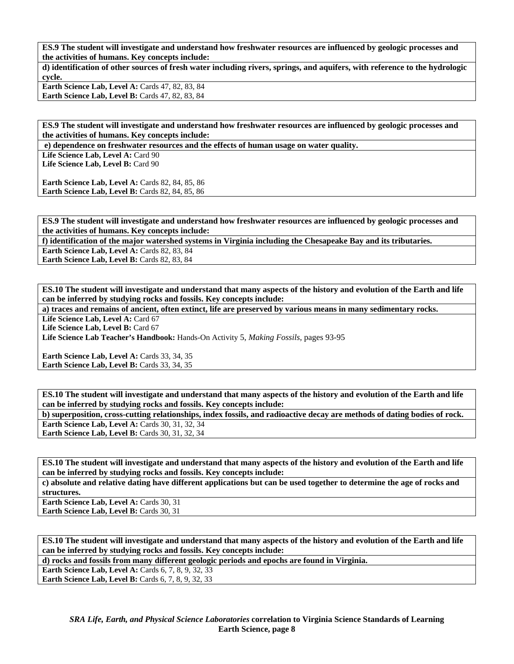**ES.9 The student will investigate and understand how freshwater resources are influenced by geologic processes and the activities of humans. Key concepts include:** 

**d) identification of other sources of fresh water including rivers, springs, and aquifers, with reference to the hydrologic cycle.** 

**Earth Science Lab, Level A: Cards 47, 82, 83, 84 Earth Science Lab, Level B: Cards 47, 82, 83, 84** 

**ES.9 The student will investigate and understand how freshwater resources are influenced by geologic processes and the activities of humans. Key concepts include:** 

 **e) dependence on freshwater resources and the effects of human usage on water quality.** 

Life Science Lab, Level A: Card 90 Life Science Lab. Level B: Card 90

**Earth Science Lab, Level A: Cards 82, 84, 85, 86 Earth Science Lab, Level B: Cards 82, 84, 85, 86** 

**ES.9 The student will investigate and understand how freshwater resources are influenced by geologic processes and the activities of humans. Key concepts include:** 

**f) identification of the major watershed systems in Virginia including the Chesapeake Bay and its tributaries.** 

Earth Science Lab, Level A: Cards 82, 83, 84 Earth Science Lab, Level B: Cards 82, 83, 84

**ES.10 The student will investigate and understand that many aspects of the history and evolution of the Earth and life can be inferred by studying rocks and fossils. Key concepts include:** 

**a) traces and remains of ancient, often extinct, life are preserved by various means in many sedimentary rocks.** 

Life Science Lab, Level A: Card 67 Life Science Lab, Level B: Card 67

**Life Science Lab Teacher's Handbook:** Hands-On Activity 5, *Making Fossils,* pages 93-95

**Earth Science Lab, Level A: Cards 33, 34, 35 Earth Science Lab, Level B: Cards 33, 34, 35** 

**ES.10 The student will investigate and understand that many aspects of the history and evolution of the Earth and life can be inferred by studying rocks and fossils. Key concepts include:** 

**b) superposition, cross-cutting relationships, index fossils, and radioactive decay are methods of dating bodies of rock. Earth Science Lab, Level A: Cards 30, 31, 32, 34 Earth Science Lab, Level B: Cards 30, 31, 32, 34** 

**ES.10 The student will investigate and understand that many aspects of the history and evolution of the Earth and life can be inferred by studying rocks and fossils. Key concepts include:** 

**c) absolute and relative dating have different applications but can be used together to determine the age of rocks and structures.** 

Earth Science Lab, Level A: Cards 30, 31 Earth Science Lab, Level B: Cards 30, 31

**ES.10 The student will investigate and understand that many aspects of the history and evolution of the Earth and life can be inferred by studying rocks and fossils. Key concepts include:** 

**d) rocks and fossils from many different geologic periods and epochs are found in Virginia.** 

**Earth Science Lab, Level A: Cards 6, 7, 8, 9, 32, 33 Earth Science Lab, Level B:** Cards 6, 7, 8, 9, 32, 33

> *SRA Life, Earth, and Physical Science Laboratories* **correlation to Virginia Science Standards of Learning Earth Science, page 8**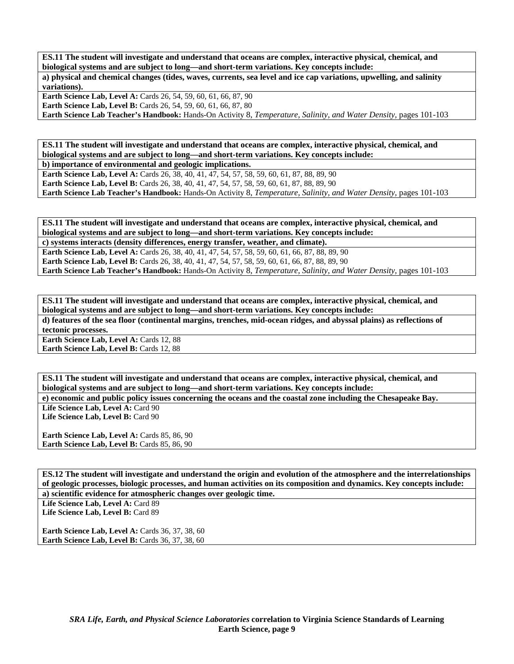**ES.11 The student will investigate and understand that oceans are complex, interactive physical, chemical, and biological systems and are subject to long—and short-term variations. Key concepts include: a) physical and chemical changes (tides, waves, currents, sea level and ice cap variations, upwelling, and salinity variations).** 

**Earth Science Lab, Level A:** Cards 26, 54, 59, 60, 61, 66, 87, 90 **Earth Science Lab, Level B:** Cards 26, 54, 59, 60, 61, 66, 87, 80 **Earth Science Lab Teacher's Handbook:** Hands-On Activity 8, *Temperature, Salinity, and Water Density,* pages 101-103

**ES.11 The student will investigate and understand that oceans are complex, interactive physical, chemical, and biological systems and are subject to long—and short-term variations. Key concepts include:** 

**b) importance of environmental and geologic implications.** 

**Earth Science Lab, Level A:** Cards 26, 38, 40, 41, 47, 54, 57, 58, 59, 60, 61, 87, 88, 89, 90 **Earth Science Lab, Level B:** Cards 26, 38, 40, 41, 47, 54, 57, 58, 59, 60, 61, 87, 88, 89, 90 **Earth Science Lab Teacher's Handbook:** Hands-On Activity 8, *Temperature, Salinity, and Water Density,* pages 101-103

**ES.11 The student will investigate and understand that oceans are complex, interactive physical, chemical, and biological systems and are subject to long—and short-term variations. Key concepts include: c) systems interacts (density differences, energy transfer, weather, and climate). Earth Science Lab, Level A:** Cards 26, 38, 40, 41, 47, 54, 57, 58, 59, 60, 61, 66, 87, 88, 89, 90 **Earth Science Lab, Level B:** Cards 26, 38, 40, 41, 47, 54, 57, 58, 59, 60, 61, 66, 87, 88, 89, 90 **Earth Science Lab Teacher's Handbook:** Hands-On Activity 8, *Temperature, Salinity, and Water Density,* pages 101-103

**ES.11 The student will investigate and understand that oceans are complex, interactive physical, chemical, and biological systems and are subject to long—and short-term variations. Key concepts include:** 

**d) features of the sea floor (continental margins, trenches, mid-ocean ridges, and abyssal plains) as reflections of tectonic processes.** 

**Earth Science Lab, Level A: Cards 12, 88** Earth Science Lab, Level B: Cards 12, 88

**ES.11 The student will investigate and understand that oceans are complex, interactive physical, chemical, and biological systems and are subject to long—and short-term variations. Key concepts include:** 

**e) economic and public policy issues concerning the oceans and the coastal zone including the Chesapeake Bay.**  Life Science Lab, Level A: Card 90

Life Science Lab, Level B: Card 90

**Earth Science Lab, Level A: Cards 85, 86, 90** Earth Science Lab, Level B: Cards 85, 86, 90

**ES.12 The student will investigate and understand the origin and evolution of the atmosphere and the interrelationships of geologic processes, biologic processes, and human activities on its composition and dynamics. Key concepts include: a) scientific evidence for atmospheric changes over geologic time.** 

Life Science Lab, Level A: Card 89 Life Science Lab, Level B: Card 89

**Earth Science Lab, Level A: Cards 36, 37, 38, 60 Earth Science Lab, Level B: Cards 36, 37, 38, 60**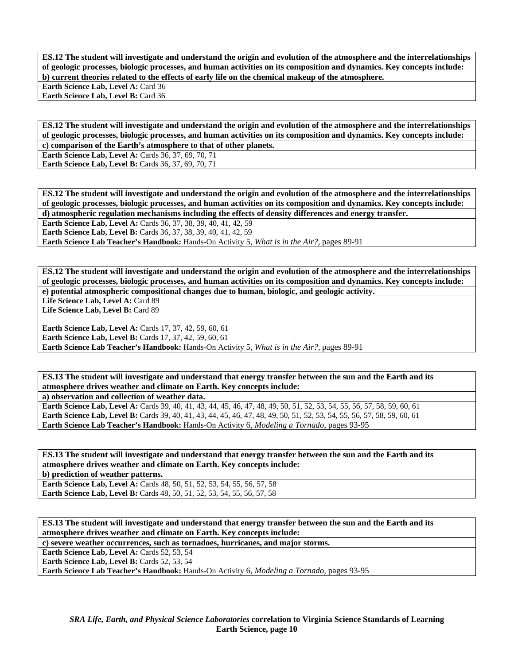**ES.12 The student will investigate and understand the origin and evolution of the atmosphere and the interrelationships of geologic processes, biologic processes, and human activities on its composition and dynamics. Key concepts include: b) current theories related to the effects of early life on the chemical makeup of the atmosphere.** 

**Earth Science Lab, Level A: Card 36** 

Earth Science Lab, Level B: Card 36

**ES.12 The student will investigate and understand the origin and evolution of the atmosphere and the interrelationships of geologic processes, biologic processes, and human activities on its composition and dynamics. Key concepts include: c) comparison of the Earth's atmosphere to that of other planets.** 

**Earth Science Lab, Level A: Cards 36, 37, 69, 70, 71 Earth Science Lab, Level B: Cards 36, 37, 69, 70, 71** 

**ES.12 The student will investigate and understand the origin and evolution of the atmosphere and the interrelationships of geologic processes, biologic processes, and human activities on its composition and dynamics. Key concepts include: d) atmospheric regulation mechanisms including the effects of density differences and energy transfer.** 

Earth Science Lab, Level A: Cards 36, 37, 38, 39, 40, 41, 42, 59 **Earth Science Lab, Level B:** Cards 36, 37, 38, 39, 40, 41, 42, 59

**Earth Science Lab Teacher's Handbook:** Hands-On Activity 5, *What is in the Air?,* pages 89-91

**ES.12 The student will investigate and understand the origin and evolution of the atmosphere and the interrelationships of geologic processes, biologic processes, and human activities on its composition and dynamics. Key concepts include: e) potential atmospheric compositional changes due to human, biologic, and geologic activity.** 

Life Science Lab, Level A: Card 89 Life Science Lab, Level B: Card 89

**Earth Science Lab, Level A:** Cards 17, 37, 42, 59, 60, 61 **Earth Science Lab, Level B:** Cards 17, 37, 42, 59, 60, 61 **Earth Science Lab Teacher's Handbook:** Hands-On Activity 5, *What is in the Air?,* pages 89-91

**ES.13 The student will investigate and understand that energy transfer between the sun and the Earth and its atmosphere drives weather and climate on Earth. Key concepts include:** 

**a) observation and collection of weather data.** 

**Earth Science Lab, Level A:** Cards 39, 40, 41, 43, 44, 45, 46, 47, 48, 49, 50, 51, 52, 53, 54, 55, 56, 57, 58, 59, 60, 61 **Earth Science Lab, Level B:** Cards 39, 40, 41, 43, 44, 45, 46, 47, 48, 49, 50, 51, 52, 53, 54, 55, 56, 57, 58, 59, 60, 61 **Earth Science Lab Teacher's Handbook:** Hands-On Activity 6, *Modeling a Tornado,* pages 93-95

**ES.13 The student will investigate and understand that energy transfer between the sun and the Earth and its atmosphere drives weather and climate on Earth. Key concepts include:** 

**b) prediction of weather patterns.** 

Earth Science Lab, Level A: Cards 48, 50, 51, 52, 53, 54, 55, 56, 57, 58 **Earth Science Lab, Level B:** Cards 48, 50, 51, 52, 53, 54, 55, 56, 57, 58

**ES.13 The student will investigate and understand that energy transfer between the sun and the Earth and its atmosphere drives weather and climate on Earth. Key concepts include:** 

**c) severe weather occurrences, such as tornadoes, hurricanes, and major storms.** 

Earth Science Lab, Level A: Cards 52, 53, 54

Earth Science Lab, Level B: Cards 52, 53, 54

**Earth Science Lab Teacher's Handbook:** Hands-On Activity 6, *Modeling a Tornado,* pages 93-95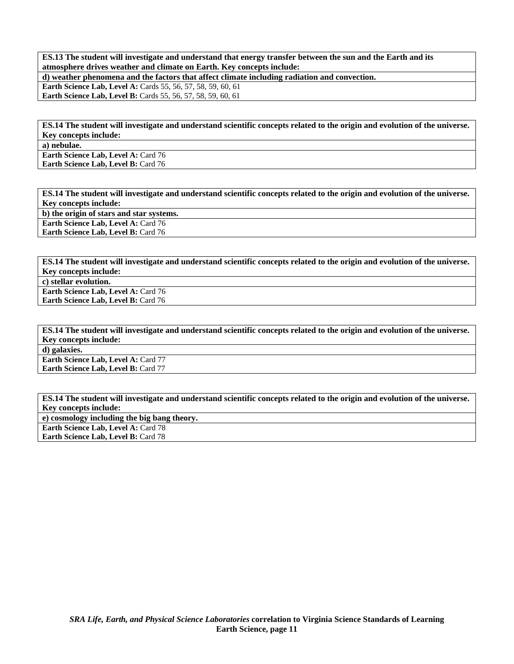**ES.13 The student will investigate and understand that energy transfer between the sun and the Earth and its atmosphere drives weather and climate on Earth. Key concepts include: d) weather phenomena and the factors that affect climate including radiation and convection.** 

**Earth Science Lab, Level A: Cards 55, 56, 57, 58, 59, 60, 61 Earth Science Lab, Level B:** Cards 55, 56, 57, 58, 59, 60, 61

**ES.14 The student will investigate and understand scientific concepts related to the origin and evolution of the universe. Key concepts include:** 

**a) nebulae.** 

**Earth Science Lab, Level A: Card 76 Earth Science Lab, Level B: Card 76** 

**ES.14 The student will investigate and understand scientific concepts related to the origin and evolution of the universe. Key concepts include: b) the origin of stars and star systems. Earth Science Lab, Level A: Card 76 Earth Science Lab, Level B: Card 76** 

**ES.14 The student will investigate and understand scientific concepts related to the origin and evolution of the universe. Key concepts include: c) stellar evolution. Earth Science Lab, Level A: Card 76** 

**Earth Science Lab, Level B: Card 76** 

**ES.14 The student will investigate and understand scientific concepts related to the origin and evolution of the universe. Key concepts include: d) galaxies.** 

**Earth Science Lab, Level A: Card 77 Earth Science Lab, Level B: Card 77** 

**ES.14 The student will investigate and understand scientific concepts related to the origin and evolution of the universe. Key concepts include:** 

**e) cosmology including the big bang theory.** 

**Earth Science Lab, Level A: Card 78** 

**Earth Science Lab, Level B: Card 78**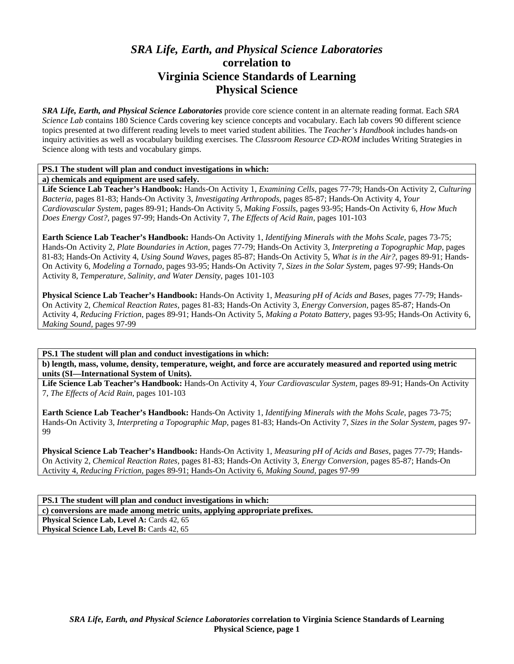# *SRA Life, Earth, and Physical Science Laboratories*  **correlation to Virginia Science Standards of Learning Physical Science**

*SRA Life, Earth, and Physical Science Laboratories* provide core science content in an alternate reading format. Each *SRA Science Lab* contains 180 Science Cards covering key science concepts and vocabulary. Each lab covers 90 different science topics presented at two different reading levels to meet varied student abilities. The *Teacher's Handbook* includes hands-on inquiry activities as well as vocabulary building exercises. The *Classroom Resource CD-ROM* includes Writing Strategies in Science along with tests and vocabulary gimps.

### **PS.1 The student will plan and conduct investigations in which:**

**a) chemicals and equipment are used safely.** 

**Life Science Lab Teacher's Handbook:** Hands-On Activity 1, *Examining Cells,* pages 77-79; Hands-On Activity 2, *Culturing Bacteria,* pages 81-83; Hands-On Activity 3, *Investigating Arthropods,* pages 85-87; Hands-On Activity 4, *Your Cardiovascular System,* pages 89-91; Hands-On Activity 5, *Making Fossils,* pages 93-95; Hands-On Activity 6, *How Much Does Energy Cost?,* pages 97-99; Hands-On Activity 7, *The Effects of Acid Rain,* pages 101-103

**Earth Science Lab Teacher's Handbook:** Hands-On Activity 1, *Identifying Minerals with the Mohs Scale,* pages 73-75; Hands-On Activity 2, *Plate Boundaries in Action,* pages 77-79; Hands-On Activity 3, *Interpreting a Topographic Map,* pages 81-83; Hands-On Activity 4, *Using Sound Waves,* pages 85-87; Hands-On Activity 5, *What is in the Air?,* pages 89-91; Hands-On Activity 6, *Modeling a Tornado,* pages 93-95; Hands-On Activity 7, *Sizes in the Solar System,* pages 97-99; Hands-On Activity 8, *Temperature, Salinity, and Water Density,* pages 101-103

**Physical Science Lab Teacher's Handbook:** Hands-On Activity 1, *Measuring pH of Acids and Bases,* pages 77-79; Hands-On Activity 2, *Chemical Reaction Rates,* pages 81-83; Hands-On Activity 3, *Energy Conversion,* pages 85-87; Hands-On Activity 4, *Reducing Friction,* pages 89-91; Hands-On Activity 5, *Making a Potato Battery,* pages 93-95; Hands-On Activity 6, *Making Sound,* pages 97-99

**PS.1 The student will plan and conduct investigations in which: b) length, mass, volume, density, temperature, weight, and force are accurately measured and reported using metric units (SI—International System of Units).** 

**Life Science Lab Teacher's Handbook:** Hands-On Activity 4, *Your Cardiovascular System,* pages 89-91; Hands-On Activity 7, *The Effects of Acid Rain,* pages 101-103

**Earth Science Lab Teacher's Handbook:** Hands-On Activity 1, *Identifying Minerals with the Mohs Scale,* pages 73-75; Hands-On Activity 3, *Interpreting a Topographic Map,* pages 81-83; Hands-On Activity 7, *Sizes in the Solar System,* pages 97- 99

**Physical Science Lab Teacher's Handbook:** Hands-On Activity 1, *Measuring pH of Acids and Bases,* pages 77-79; Hands-On Activity 2, *Chemical Reaction Rates,* pages 81-83; Hands-On Activity 3, *Energy Conversion,* pages 85-87; Hands-On Activity 4, *Reducing Friction,* pages 89-91; Hands-On Activity 6, *Making Sound,* pages 97-99

**PS.1 The student will plan and conduct investigations in which: c) conversions are made among metric units, applying appropriate prefixes. Physical Science Lab, Level A: Cards 42, 65** Physical Science Lab, Level B: Cards 42, 65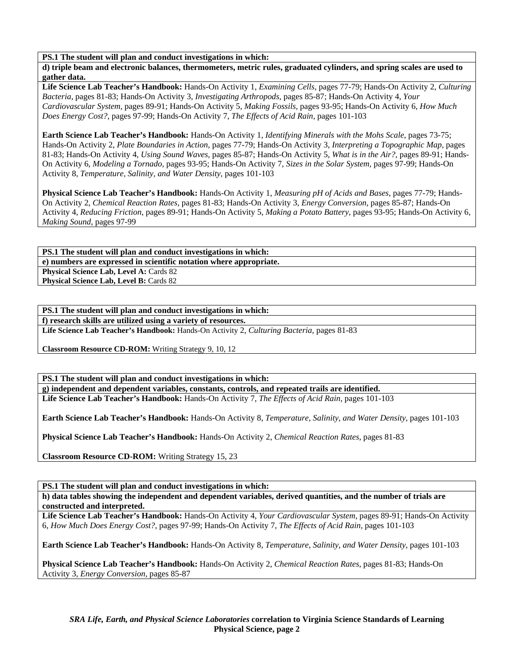**d) triple beam and electronic balances, thermometers, metric rules, graduated cylinders, and spring scales are used to gather data.** 

**Life Science Lab Teacher's Handbook:** Hands-On Activity 1, *Examining Cells,* pages 77-79; Hands-On Activity 2, *Culturing Bacteria,* pages 81-83; Hands-On Activity 3, *Investigating Arthropods,* pages 85-87; Hands-On Activity 4, *Your Cardiovascular System,* pages 89-91; Hands-On Activity 5, *Making Fossils,* pages 93-95; Hands-On Activity 6, *How Much Does Energy Cost?,* pages 97-99; Hands-On Activity 7, *The Effects of Acid Rain,* pages 101-103

**Earth Science Lab Teacher's Handbook:** Hands-On Activity 1, *Identifying Minerals with the Mohs Scale,* pages 73-75; Hands-On Activity 2, *Plate Boundaries in Action,* pages 77-79; Hands-On Activity 3, *Interpreting a Topographic Map,* pages 81-83; Hands-On Activity 4, *Using Sound Waves,* pages 85-87; Hands-On Activity 5, *What is in the Air?,* pages 89-91; Hands-On Activity 6, *Modeling a Tornado,* pages 93-95; Hands-On Activity 7, *Sizes in the Solar System,* pages 97-99; Hands-On Activity 8, *Temperature, Salinity, and Water Density,* pages 101-103

**Physical Science Lab Teacher's Handbook:** Hands-On Activity 1, *Measuring pH of Acids and Bases,* pages 77-79; Hands-On Activity 2, *Chemical Reaction Rates,* pages 81-83; Hands-On Activity 3, *Energy Conversion,* pages 85-87; Hands-On Activity 4, *Reducing Friction,* pages 89-91; Hands-On Activity 5, *Making a Potato Battery,* pages 93-95; Hands-On Activity 6, *Making Sound,* pages 97-99

**PS.1 The student will plan and conduct investigations in which: e) numbers are expressed in scientific notation where appropriate.**  Physical Science Lab, Level A: Cards 82 **Physical Science Lab, Level B: Cards 82** 

**PS.1 The student will plan and conduct investigations in which:** 

**f) research skills are utilized using a variety of resources.** 

**Life Science Lab Teacher's Handbook:** Hands-On Activity 2, *Culturing Bacteria,* pages 81-83

**Classroom Resource CD-ROM:** Writing Strategy 9, 10, 12

**PS.1 The student will plan and conduct investigations in which: g) independent and dependent variables, constants, controls, and repeated trails are identified. Life Science Lab Teacher's Handbook:** Hands-On Activity 7, *The Effects of Acid Rain,* pages 101-103

**Earth Science Lab Teacher's Handbook:** Hands-On Activity 8, *Temperature, Salinity, and Water Density,* pages 101-103

**Physical Science Lab Teacher's Handbook:** Hands-On Activity 2, *Chemical Reaction Rates,* pages 81-83

**Classroom Resource CD-ROM:** Writing Strategy 15, 23

**PS.1 The student will plan and conduct investigations in which:** 

**h) data tables showing the independent and dependent variables, derived quantities, and the number of trials are constructed and interpreted.** 

**Life Science Lab Teacher's Handbook:** Hands-On Activity 4, *Your Cardiovascular System,* pages 89-91; Hands-On Activity 6, *How Much Does Energy Cost?,* pages 97-99; Hands-On Activity 7, *The Effects of Acid Rain,* pages 101-103

**Earth Science Lab Teacher's Handbook:** Hands-On Activity 8, *Temperature, Salinity, and Water Density,* pages 101-103

**Physical Science Lab Teacher's Handbook:** Hands-On Activity 2, *Chemical Reaction Rates,* pages 81-83; Hands-On Activity 3, *Energy Conversion,* pages 85-87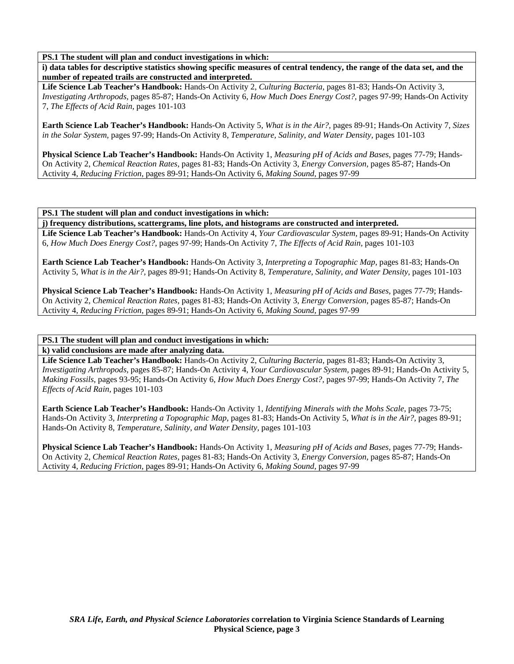**i) data tables for descriptive statistics showing specific measures of central tendency, the range of the data set, and the number of repeated trails are constructed and interpreted.** 

**Life Science Lab Teacher's Handbook:** Hands-On Activity 2, *Culturing Bacteria,* pages 81-83; Hands-On Activity 3, *Investigating Arthropods,* pages 85-87; Hands-On Activity 6, *How Much Does Energy Cost?,* pages 97-99; Hands-On Activity 7, *The Effects of Acid Rain,* pages 101-103

**Earth Science Lab Teacher's Handbook:** Hands-On Activity 5, *What is in the Air?,* pages 89-91; Hands-On Activity 7, *Sizes in the Solar System,* pages 97-99; Hands-On Activity 8, *Temperature, Salinity, and Water Density,* pages 101-103

**Physical Science Lab Teacher's Handbook:** Hands-On Activity 1, *Measuring pH of Acids and Bases,* pages 77-79; Hands-On Activity 2, *Chemical Reaction Rates,* pages 81-83; Hands-On Activity 3, *Energy Conversion,* pages 85-87; Hands-On Activity 4, *Reducing Friction,* pages 89-91; Hands-On Activity 6, *Making Sound,* pages 97-99

#### **PS.1 The student will plan and conduct investigations in which:**

**j) frequency distributions, scattergrams, line plots, and histograms are constructed and interpreted.** 

**Life Science Lab Teacher's Handbook:** Hands-On Activity 4, *Your Cardiovascular System,* pages 89-91; Hands-On Activity 6, *How Much Does Energy Cost?,* pages 97-99; Hands-On Activity 7, *The Effects of Acid Rain,* pages 101-103

**Earth Science Lab Teacher's Handbook:** Hands-On Activity 3, *Interpreting a Topographic Map,* pages 81-83; Hands-On Activity 5, *What is in the Air?,* pages 89-91; Hands-On Activity 8, *Temperature, Salinity, and Water Density,* pages 101-103

**Physical Science Lab Teacher's Handbook:** Hands-On Activity 1, *Measuring pH of Acids and Bases,* pages 77-79; Hands-On Activity 2, *Chemical Reaction Rates,* pages 81-83; Hands-On Activity 3, *Energy Conversion,* pages 85-87; Hands-On Activity 4, *Reducing Friction,* pages 89-91; Hands-On Activity 6, *Making Sound,* pages 97-99

**PS.1 The student will plan and conduct investigations in which:** 

**k) valid conclusions are made after analyzing data.** 

**Life Science Lab Teacher's Handbook:** Hands-On Activity 2, *Culturing Bacteria,* pages 81-83; Hands-On Activity 3, *Investigating Arthropods,* pages 85-87; Hands-On Activity 4, *Your Cardiovascular System,* pages 89-91; Hands-On Activity 5, *Making Fossils,* pages 93-95; Hands-On Activity 6, *How Much Does Energy Cost?,* pages 97-99; Hands-On Activity 7, *The Effects of Acid Rain,* pages 101-103

**Earth Science Lab Teacher's Handbook:** Hands-On Activity 1, *Identifying Minerals with the Mohs Scale,* pages 73-75; Hands-On Activity 3, *Interpreting a Topographic Map,* pages 81-83; Hands-On Activity 5, *What is in the Air?,* pages 89-91; Hands-On Activity 8, *Temperature, Salinity, and Water Density,* pages 101-103

**Physical Science Lab Teacher's Handbook:** Hands-On Activity 1, *Measuring pH of Acids and Bases,* pages 77-79; Hands-On Activity 2, *Chemical Reaction Rates,* pages 81-83; Hands-On Activity 3, *Energy Conversion,* pages 85-87; Hands-On Activity 4, *Reducing Friction,* pages 89-91; Hands-On Activity 6, *Making Sound,* pages 97-99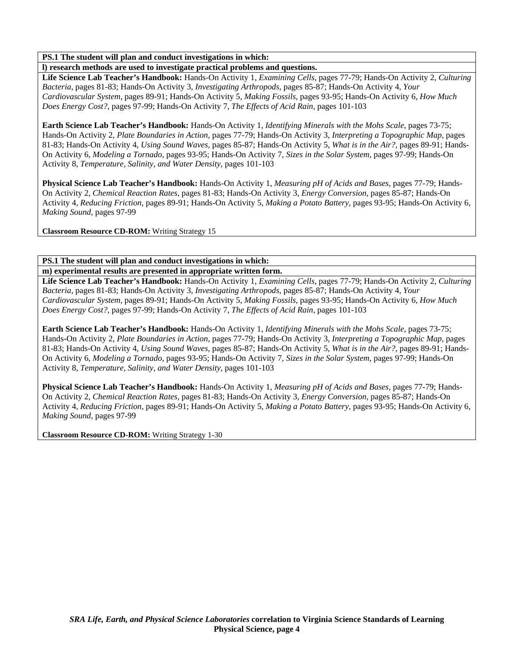## **l) research methods are used to investigate practical problems and questions.**

**Life Science Lab Teacher's Handbook:** Hands-On Activity 1, *Examining Cells,* pages 77-79; Hands-On Activity 2, *Culturing Bacteria,* pages 81-83; Hands-On Activity 3, *Investigating Arthropods,* pages 85-87; Hands-On Activity 4, *Your Cardiovascular System,* pages 89-91; Hands-On Activity 5, *Making Fossils,* pages 93-95; Hands-On Activity 6, *How Much Does Energy Cost?,* pages 97-99; Hands-On Activity 7, *The Effects of Acid Rain,* pages 101-103

**Earth Science Lab Teacher's Handbook:** Hands-On Activity 1, *Identifying Minerals with the Mohs Scale,* pages 73-75; Hands-On Activity 2, *Plate Boundaries in Action,* pages 77-79; Hands-On Activity 3, *Interpreting a Topographic Map,* pages 81-83; Hands-On Activity 4, *Using Sound Waves,* pages 85-87; Hands-On Activity 5, *What is in the Air?,* pages 89-91; Hands-On Activity 6, *Modeling a Tornado,* pages 93-95; Hands-On Activity 7, *Sizes in the Solar System,* pages 97-99; Hands-On Activity 8, *Temperature, Salinity, and Water Density,* pages 101-103

**Physical Science Lab Teacher's Handbook:** Hands-On Activity 1, *Measuring pH of Acids and Bases,* pages 77-79; Hands-On Activity 2, *Chemical Reaction Rates,* pages 81-83; Hands-On Activity 3, *Energy Conversion,* pages 85-87; Hands-On Activity 4, *Reducing Friction,* pages 89-91; Hands-On Activity 5, *Making a Potato Battery,* pages 93-95; Hands-On Activity 6, *Making Sound,* pages 97-99

**Classroom Resource CD-ROM:** Writing Strategy 15

**PS.1 The student will plan and conduct investigations in which: m) experimental results are presented in appropriate written form.** 

**Life Science Lab Teacher's Handbook:** Hands-On Activity 1, *Examining Cells,* pages 77-79; Hands-On Activity 2, *Culturing Bacteria,* pages 81-83; Hands-On Activity 3, *Investigating Arthropods,* pages 85-87; Hands-On Activity 4, *Your Cardiovascular System,* pages 89-91; Hands-On Activity 5, *Making Fossils,* pages 93-95; Hands-On Activity 6, *How Much Does Energy Cost?,* pages 97-99; Hands-On Activity 7, *The Effects of Acid Rain,* pages 101-103

**Earth Science Lab Teacher's Handbook:** Hands-On Activity 1, *Identifying Minerals with the Mohs Scale,* pages 73-75; Hands-On Activity 2, *Plate Boundaries in Action,* pages 77-79; Hands-On Activity 3, *Interpreting a Topographic Map,* pages 81-83; Hands-On Activity 4, *Using Sound Waves,* pages 85-87; Hands-On Activity 5, *What is in the Air?,* pages 89-91; Hands-On Activity 6, *Modeling a Tornado,* pages 93-95; Hands-On Activity 7, *Sizes in the Solar System,* pages 97-99; Hands-On Activity 8, *Temperature, Salinity, and Water Density,* pages 101-103

**Physical Science Lab Teacher's Handbook:** Hands-On Activity 1, *Measuring pH of Acids and Bases,* pages 77-79; Hands-On Activity 2, *Chemical Reaction Rates,* pages 81-83; Hands-On Activity 3, *Energy Conversion,* pages 85-87; Hands-On Activity 4, *Reducing Friction,* pages 89-91; Hands-On Activity 5, *Making a Potato Battery,* pages 93-95; Hands-On Activity 6, *Making Sound,* pages 97-99

**Classroom Resource CD-ROM:** Writing Strategy 1-30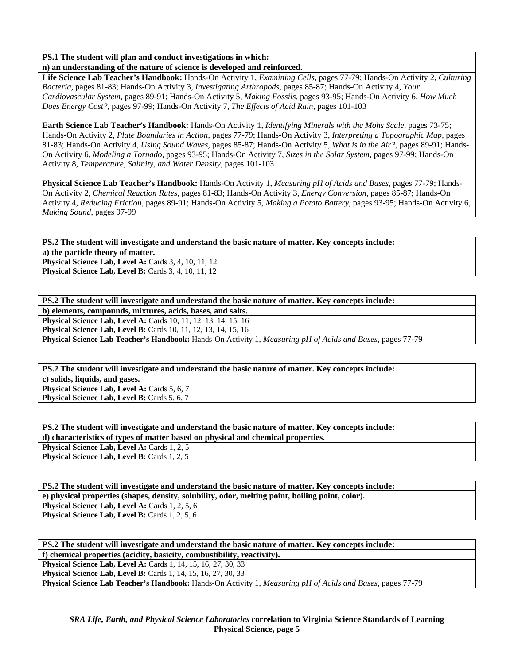**n) an understanding of the nature of science is developed and reinforced.** 

**Life Science Lab Teacher's Handbook:** Hands-On Activity 1, *Examining Cells,* pages 77-79; Hands-On Activity 2, *Culturing Bacteria,* pages 81-83; Hands-On Activity 3, *Investigating Arthropods,* pages 85-87; Hands-On Activity 4, *Your Cardiovascular System,* pages 89-91; Hands-On Activity 5, *Making Fossils,* pages 93-95; Hands-On Activity 6, *How Much Does Energy Cost?,* pages 97-99; Hands-On Activity 7, *The Effects of Acid Rain,* pages 101-103

**Earth Science Lab Teacher's Handbook:** Hands-On Activity 1, *Identifying Minerals with the Mohs Scale,* pages 73-75; Hands-On Activity 2, *Plate Boundaries in Action,* pages 77-79; Hands-On Activity 3, *Interpreting a Topographic Map,* pages 81-83; Hands-On Activity 4, *Using Sound Waves,* pages 85-87; Hands-On Activity 5, *What is in the Air?,* pages 89-91; Hands-On Activity 6, *Modeling a Tornado,* pages 93-95; Hands-On Activity 7, *Sizes in the Solar System,* pages 97-99; Hands-On Activity 8, *Temperature, Salinity, and Water Density,* pages 101-103

**Physical Science Lab Teacher's Handbook:** Hands-On Activity 1, *Measuring pH of Acids and Bases,* pages 77-79; Hands-On Activity 2, *Chemical Reaction Rates,* pages 81-83; Hands-On Activity 3, *Energy Conversion,* pages 85-87; Hands-On Activity 4, *Reducing Friction,* pages 89-91; Hands-On Activity 5, *Making a Potato Battery,* pages 93-95; Hands-On Activity 6, *Making Sound,* pages 97-99

### **PS.2 The student will investigate and understand the basic nature of matter. Key concepts include: a) the particle theory of matter.**

**Physical Science Lab, Level A: Cards 3, 4, 10, 11, 12 Physical Science Lab, Level B: Cards 3, 4, 10, 11, 12** 

| PS.2 The student will investigate and understand the basic nature of matter. Key concepts include:         |
|------------------------------------------------------------------------------------------------------------|
| b) elements, compounds, mixtures, acids, bases, and salts.                                                 |
| <b>Physical Science Lab, Level A: Cards 10, 11, 12, 13, 14, 15, 16</b>                                     |
| <b>Physical Science Lab, Level B:</b> Cards 10, 11, 12, 13, 14, 15, 16                                     |
| Physical Science Lab Teacher's Handbook: Hands-On Activity 1, Measuring pH of Acids and Bases, pages 77-79 |

**PS.2 The student will investigate and understand the basic nature of matter. Key concepts include: c) solids, liquids, and gases. Physical Science Lab, Level A: Cards 5, 6, 7 Physical Science Lab, Level B: Cards 5, 6, 7** 

| PS.2 The student will investigate and understand the basic nature of matter. Key concepts include: |
|----------------------------------------------------------------------------------------------------|
| d) characteristics of types of matter based on physical and chemical properties.                   |
| <b>Physical Science Lab, Level A: Cards 1, 2, 5</b>                                                |
| <b>Physical Science Lab, Level B:</b> Cards 1, 2, 5                                                |

| PS.2 The student will investigate and understand the basic nature of matter. Key concepts include: |
|----------------------------------------------------------------------------------------------------|
| e) physical properties (shapes, density, solubility, odor, melting point, boiling point, color).   |
| <b>Physical Science Lab, Level A: Cards 1, 2, 5, 6</b>                                             |
| <b>Physical Science Lab, Level B:</b> Cards 1, 2, 5, 6                                             |

**PS.2 The student will investigate and understand the basic nature of matter. Key concepts include: f) chemical properties (acidity, basicity, combustibility, reactivity). Physical Science Lab, Level A: Cards 1, 14, 15, 16, 27, 30, 33** 

**Physical Science Lab, Level B:** Cards 1, 14, 15, 16, 27, 30, 33 **Physical Science Lab Teacher's Handbook:** Hands-On Activity 1, *Measuring pH of Acids and Bases,* pages 77-79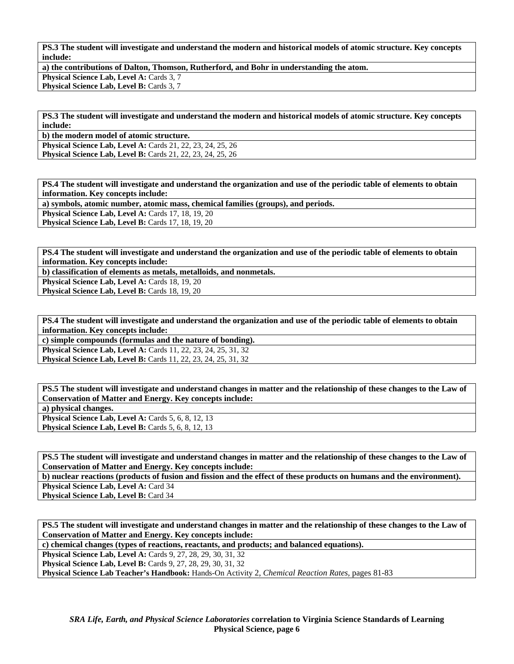**PS.3 The student will investigate and understand the modern and historical models of atomic structure. Key concepts include:** 

**a) the contributions of Dalton, Thomson, Rutherford, and Bohr in understanding the atom.** 

**Physical Science Lab, Level A: Cards 3, 7** 

**Physical Science Lab, Level B: Cards 3, 7** 

**PS.3 The student will investigate and understand the modern and historical models of atomic structure. Key concepts include:** 

**b) the modern model of atomic structure. Physical Science Lab, Level A:** Cards 21, 22, 23, 24, 25, 26

**Physical Science Lab, Level B:** Cards 21, 22, 23, 24, 25, 26

**PS.4 The student will investigate and understand the organization and use of the periodic table of elements to obtain information. Key concepts include:** 

**a) symbols, atomic number, atomic mass, chemical families (groups), and periods.** 

**Physical Science Lab, Level A: Cards 17, 18, 19, 20** 

**Physical Science Lab, Level B: Cards 17, 18, 19, 20** 

**PS.4 The student will investigate and understand the organization and use of the periodic table of elements to obtain information. Key concepts include:** 

**b) classification of elements as metals, metalloids, and nonmetals.** 

Physical Science Lab, Level A: Cards 18, 19, 20

Physical Science Lab, Level B: Cards 18, 19, 20

**PS.4 The student will investigate and understand the organization and use of the periodic table of elements to obtain information. Key concepts include:** 

**c) simple compounds (formulas and the nature of bonding). Physical Science Lab, Level A:** Cards 11, 22, 23, 24, 25, 31, 32 **Physical Science Lab, Level B:** Cards 11, 22, 23, 24, 25, 31, 32

**PS.5 The student will investigate and understand changes in matter and the relationship of these changes to the Law of Conservation of Matter and Energy. Key concepts include: a) physical changes. Physical Science Lab, Level A: Cards 5, 6, 8, 12, 13 Physical Science Lab, Level B:** Cards 5, 6, 8, 12, 13

**PS.5 The student will investigate and understand changes in matter and the relationship of these changes to the Law of Conservation of Matter and Energy. Key concepts include:** 

**b) nuclear reactions (products of fusion and fission and the effect of these products on humans and the environment).** 

Physical Science Lab, Level A: Card 34 Physical Science Lab, Level B: Card 34

**PS.5 The student will investigate and understand changes in matter and the relationship of these changes to the Law of Conservation of Matter and Energy. Key concepts include:** 

**c) chemical changes (types of reactions, reactants, and products; and balanced equations).** 

**Physical Science Lab, Level A: Cards 9, 27, 28, 29, 30, 31, 32** 

**Physical Science Lab, Level B:** Cards 9, 27, 28, 29, 30, 31, 32

**Physical Science Lab Teacher's Handbook:** Hands-On Activity 2, *Chemical Reaction Rates,* pages 81-83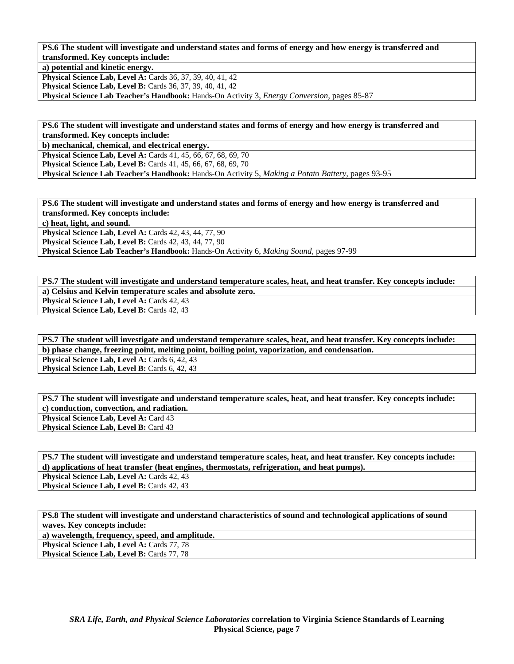**PS.6 The student will investigate and understand states and forms of energy and how energy is transferred and transformed. Key concepts include:** 

**a) potential and kinetic energy.** 

**Physical Science Lab, Level A: Cards 36, 37, 39, 40, 41, 42** 

**Physical Science Lab, Level B:** Cards 36, 37, 39, 40, 41, 42

**Physical Science Lab Teacher's Handbook:** Hands-On Activity 3, *Energy Conversion,* pages 85-87

**PS.6 The student will investigate and understand states and forms of energy and how energy is transferred and transformed. Key concepts include:** 

**b) mechanical, chemical, and electrical energy.** 

**Physical Science Lab, Level A:** Cards 41, 45, 66, 67, 68, 69, 70 **Physical Science Lab, Level B:** Cards 41, 45, 66, 67, 68, 69, 70 **Physical Science Lab Teacher's Handbook:** Hands-On Activity 5, *Making a Potato Battery,* pages 93-95

**PS.6 The student will investigate and understand states and forms of energy and how energy is transferred and transformed. Key concepts include:** 

**c) heat, light, and sound.** 

**Physical Science Lab, Level A: Cards 42, 43, 44, 77, 90 Physical Science Lab, Level B: Cards 42, 43, 44, 77, 90 Physical Science Lab Teacher's Handbook:** Hands-On Activity 6, *Making Sound,* pages 97-99

**PS.7 The student will investigate and understand temperature scales, heat, and heat transfer. Key concepts include: a) Celsius and Kelvin temperature scales and absolute zero.**  Physical Science Lab, Level A: Cards 42, 43 **Physical Science Lab, Level B: Cards 42, 43** 

**PS.7 The student will investigate and understand temperature scales, heat, and heat transfer. Key concepts include: b) phase change, freezing point, melting point, boiling point, vaporization, and condensation. Physical Science Lab, Level A: Cards 6, 42, 43** Physical Science Lab, Level B: Cards 6, 42, 43

**PS.7 The student will investigate and understand temperature scales, heat, and heat transfer. Key concepts include: c) conduction, convection, and radiation. Physical Science Lab, Level A: Card 43 Physical Science Lab, Level B: Card 43** 

**PS.7 The student will investigate and understand temperature scales, heat, and heat transfer. Key concepts include: d) applications of heat transfer (heat engines, thermostats, refrigeration, and heat pumps). Physical Science Lab, Level A: Cards 42, 43** Physical Science Lab, Level B: Cards 42, 43

**PS.8 The student will investigate and understand characteristics of sound and technological applications of sound waves. Key concepts include:** 

**a) wavelength, frequency, speed, and amplitude.**  Physical Science Lab, Level A: Cards 77, 78 Physical Science Lab, Level B: Cards 77, 78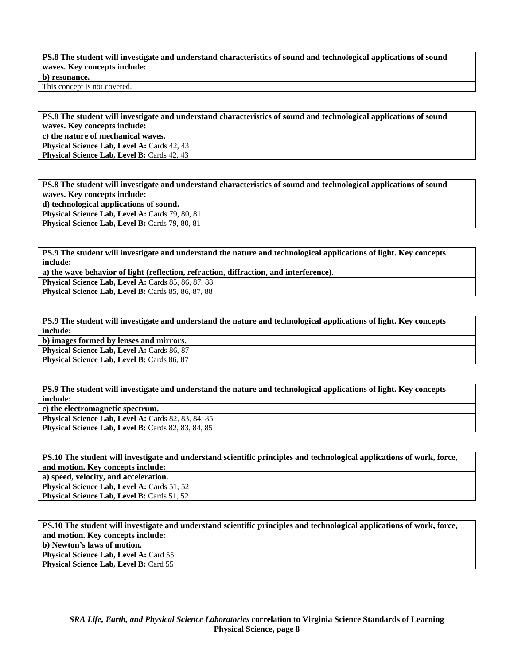# **PS.8 The student will investigate and understand characteristics of sound and technological applications of sound waves. Key concepts include: b) resonance.**

This concept is not covered.

**PS.8 The student will investigate and understand characteristics of sound and technological applications of sound waves. Key concepts include:** 

**c) the nature of mechanical waves.** 

Physical Science Lab, Level A: Cards 42, 43

**Physical Science Lab, Level B: Cards 42, 43** 

**PS.8 The student will investigate and understand characteristics of sound and technological applications of sound waves. Key concepts include: d) technological applications of sound.**  Physical Science Lab, Level A: Cards 79, 80, 81 Physical Science Lab, Level B: Cards 79, 80, 81

**PS.9 The student will investigate and understand the nature and technological applications of light. Key concepts include:** 

**a) the wave behavior of light (reflection, refraction, diffraction, and interference). Physical Science Lab, Level A: Cards 85, 86, 87, 88** Physical Science Lab, Level B: Cards 85, 86, 87, 88

**PS.9 The student will investigate and understand the nature and technological applications of light. Key concepts include:** 

**b) images formed by lenses and mirrors.**  Physical Science Lab, Level A: Cards 86, 87 Physical Science Lab, Level B: Cards 86, 87

**PS.9 The student will investigate and understand the nature and technological applications of light. Key concepts include:** 

**c) the electromagnetic spectrum.** 

**Physical Science Lab, Level A: Cards 82, 83, 84, 85 Physical Science Lab, Level B: Cards 82, 83, 84, 85** 

**PS.10 The student will investigate and understand scientific principles and technological applications of work, force, and motion. Key concepts include:** 

**a) speed, velocity, and acceleration.** 

**Physical Science Lab, Level A: Cards 51, 52 Physical Science Lab, Level B: Cards 51, 52** 

**PS.10 The student will investigate and understand scientific principles and technological applications of work, force, and motion. Key concepts include: b) Newton's laws of motion. Physical Science Lab, Level A: Card 55** 

**Physical Science Lab, Level B: Card 55**